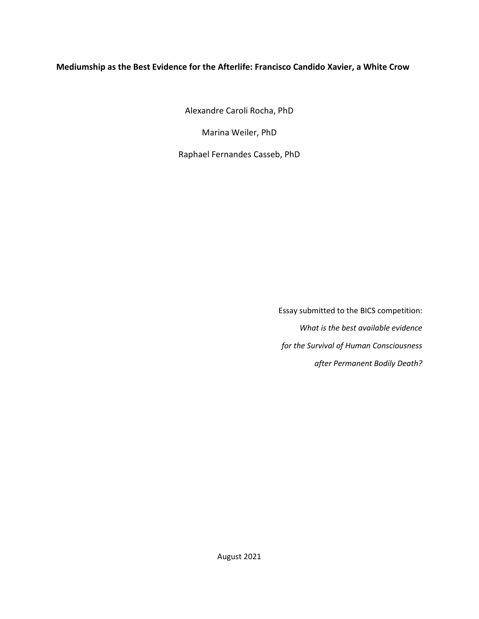## **Mediumship as the Best Evidence for the Afterlife: Francisco Candido Xavier, a White Crow**

Alexandre Caroli Rocha, PhD

Marina Weiler, PhD

Raphael Fernandes Casseb, PhD

Essay submitted to the BICS competition: *What is the best available evidence for the Survival of Human Consciousness after Permanent Bodily Death?*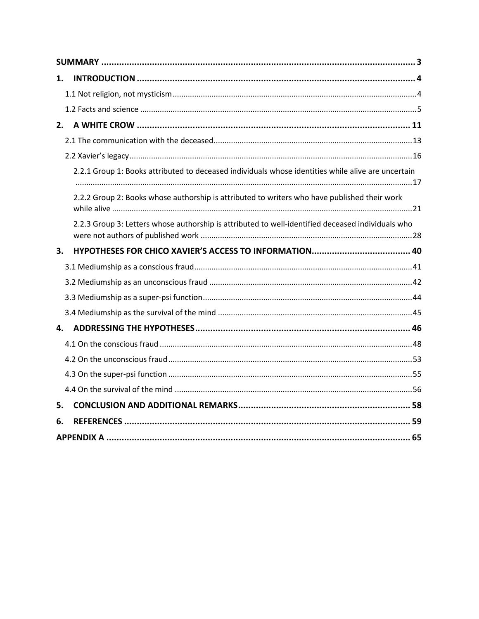| 1.                                                                                                 |
|----------------------------------------------------------------------------------------------------|
|                                                                                                    |
|                                                                                                    |
| 2.                                                                                                 |
|                                                                                                    |
|                                                                                                    |
| 2.2.1 Group 1: Books attributed to deceased individuals whose identities while alive are uncertain |
| 2.2.2 Group 2: Books whose authorship is attributed to writers who have published their work       |
| 2.2.3 Group 3: Letters whose authorship is attributed to well-identified deceased individuals who  |
| 3.                                                                                                 |
|                                                                                                    |
|                                                                                                    |
|                                                                                                    |
|                                                                                                    |
| 4.                                                                                                 |
|                                                                                                    |
|                                                                                                    |
|                                                                                                    |
|                                                                                                    |
| 5.                                                                                                 |
| 6.                                                                                                 |
|                                                                                                    |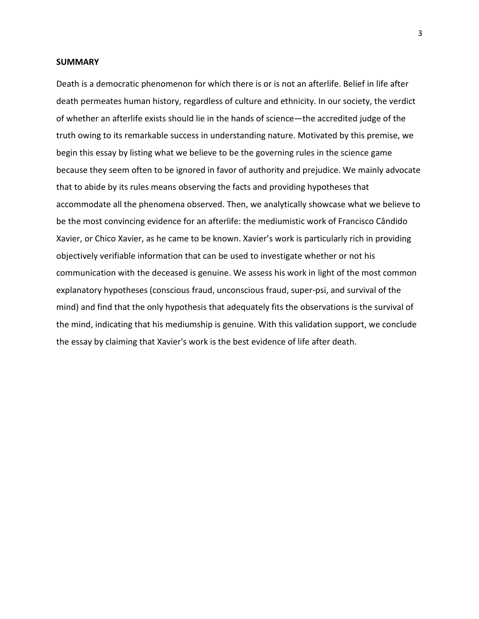### **SUMMARY**

Death is a democratic phenomenon for which there is or is not an afterlife. Belief in life after death permeates human history, regardless of culture and ethnicity. In our society, the verdict of whether an afterlife exists should lie in the hands of science—the accredited judge of the truth owing to its remarkable success in understanding nature. Motivated by this premise, we begin this essay by listing what we believe to be the governing rules in the science game because they seem often to be ignored in favor of authority and prejudice. We mainly advocate that to abide by its rules means observing the facts and providing hypotheses that accommodate all the phenomena observed. Then, we analytically showcase what we believe to be the most convincing evidence for an afterlife: the mediumistic work of Francisco Cândido Xavier, or Chico Xavier, as he came to be known. Xavier's work is particularly rich in providing objectively verifiable information that can be used to investigate whether or not his communication with the deceased is genuine. We assess his work in light of the most common explanatory hypotheses (conscious fraud, unconscious fraud, super-psi, and survival of the mind) and find that the only hypothesis that adequately fits the observations is the survival of the mind, indicating that his mediumship is genuine. With this validation support, we conclude the essay by claiming that Xavier's work is the best evidence of life after death.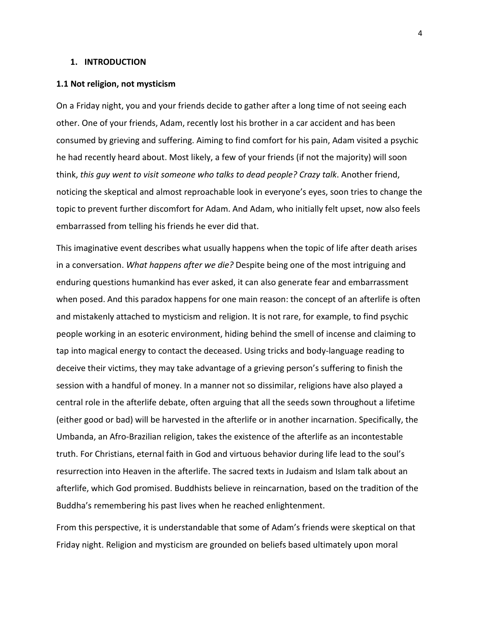### **1. INTRODUCTION**

#### **1.1 Not religion, not mysticism**

On a Friday night, you and your friends decide to gather after a long time of not seeing each other. One of your friends, Adam, recently lost his brother in a car accident and has been consumed by grieving and suffering. Aiming to find comfort for his pain, Adam visited a psychic he had recently heard about. Most likely, a few of your friends (if not the majority) will soon think, *this guy went to visit someone who talks to dead people? Crazy talk*. Another friend, noticing the skeptical and almost reproachable look in everyone's eyes, soon tries to change the topic to prevent further discomfort for Adam. And Adam, who initially felt upset, now also feels embarrassed from telling his friends he ever did that.

This imaginative event describes what usually happens when the topic of life after death arises in a conversation. *What happens after we die?* Despite being one of the most intriguing and enduring questions humankind has ever asked, it can also generate fear and embarrassment when posed. And this paradox happens for one main reason: the concept of an afterlife is often and mistakenly attached to mysticism and religion. It is not rare, for example, to find psychic people working in an esoteric environment, hiding behind the smell of incense and claiming to tap into magical energy to contact the deceased. Using tricks and body-language reading to deceive their victims, they may take advantage of a grieving person's suffering to finish the session with a handful of money. In a manner not so dissimilar, religions have also played a central role in the afterlife debate, often arguing that all the seeds sown throughout a lifetime (either good or bad) will be harvested in the afterlife or in another incarnation. Specifically, the Umbanda, an Afro-Brazilian religion, takes the existence of the afterlife as an incontestable truth. For Christians, eternal faith in God and virtuous behavior during life lead to the soul's resurrection into Heaven in the afterlife. The sacred texts in Judaism and Islam talk about an afterlife, which God promised. Buddhists believe in reincarnation, based on the tradition of the Buddha's remembering his past lives when he reached enlightenment.

From this perspective, it is understandable that some of Adam's friends were skeptical on that Friday night. Religion and mysticism are grounded on beliefs based ultimately upon moral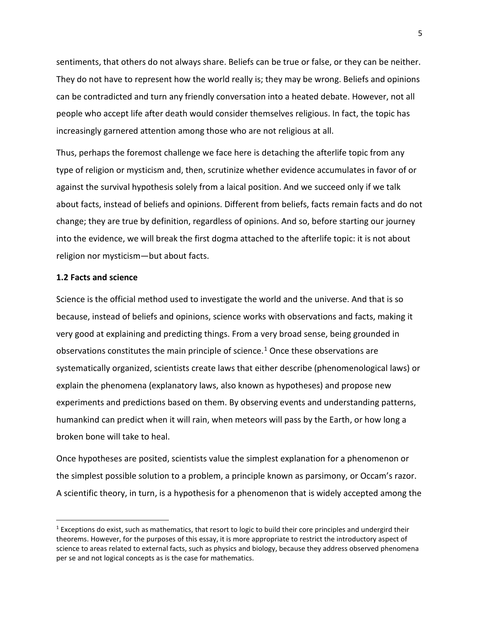sentiments, that others do not always share. Beliefs can be true or false, or they can be neither. They do not have to represent how the world really is; they may be wrong. Beliefs and opinions can be contradicted and turn any friendly conversation into a heated debate. However, not all people who accept life after death would consider themselves religious. In fact, the topic has increasingly garnered attention among those who are not religious at all.

Thus, perhaps the foremost challenge we face here is detaching the afterlife topic from any type of religion or mysticism and, then, scrutinize whether evidence accumulates in favor of or against the survival hypothesis solely from a laical position. And we succeed only if we talk about facts, instead of beliefs and opinions. Different from beliefs, facts remain facts and do not change; they are true by definition, regardless of opinions. And so, before starting our journey into the evidence, we will break the first dogma attached to the afterlife topic: it is not about religion nor mysticism—but about facts.

## **1.2 Facts and science**

Science is the official method used to investigate the world and the universe. And that is so because, instead of beliefs and opinions, science works with observations and facts, making it very good at explaining and predicting things. From a very broad sense, being grounded in observations constitutes the main principle of science. [1](#page-4-0) Once these observations are systematically organized, scientists create laws that either describe (phenomenological laws) or explain the phenomena (explanatory laws, also known as hypotheses) and propose new experiments and predictions based on them. By observing events and understanding patterns, humankind can predict when it will rain, when meteors will pass by the Earth, or how long a broken bone will take to heal.

Once hypotheses are posited, scientists value the simplest explanation for a phenomenon or the simplest possible solution to a problem, a principle known as parsimony, or Occam's razor. A scientific theory, in turn, is a hypothesis for a phenomenon that is widely accepted among the

<span id="page-4-0"></span><sup>&</sup>lt;sup>1</sup> Exceptions do exist, such as mathematics, that resort to logic to build their core principles and undergird their theorems. However, for the purposes of this essay, it is more appropriate to restrict the introductory aspect of science to areas related to external facts, such as physics and biology, because they address observed phenomena per se and not logical concepts as is the case for mathematics.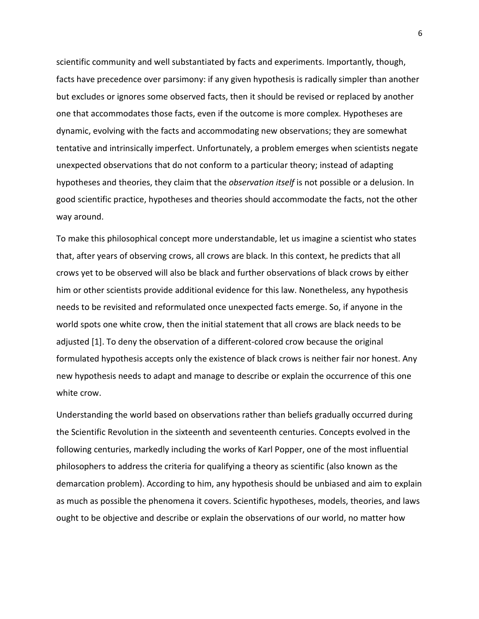scientific community and well substantiated by facts and experiments. Importantly, though, facts have precedence over parsimony: if any given hypothesis is radically simpler than another but excludes or ignores some observed facts, then it should be revised or replaced by another one that accommodates those facts, even if the outcome is more complex. Hypotheses are dynamic, evolving with the facts and accommodating new observations; they are somewhat tentative and intrinsically imperfect. Unfortunately, a problem emerges when scientists negate unexpected observations that do not conform to a particular theory; instead of adapting hypotheses and theories, they claim that the *observation itself* is not possible or a delusion. In good scientific practice, hypotheses and theories should accommodate the facts, not the other way around.

To make this philosophical concept more understandable, let us imagine a scientist who states that, after years of observing crows, all crows are black. In this context, he predicts that all crows yet to be observed will also be black and further observations of black crows by either him or other scientists provide additional evidence for this law. Nonetheless, any hypothesis needs to be revisited and reformulated once unexpected facts emerge. So, if anyone in the world spots one white crow, then the initial statement that all crows are black needs to be adjusted [1]. To deny the observation of a different-colored crow because the original formulated hypothesis accepts only the existence of black crows is neither fair nor honest. Any new hypothesis needs to adapt and manage to describe or explain the occurrence of this one white crow.

Understanding the world based on observations rather than beliefs gradually occurred during the Scientific Revolution in the sixteenth and seventeenth centuries. Concepts evolved in the following centuries, markedly including the works of Karl Popper, one of the most influential philosophers to address the criteria for qualifying a theory as scientific (also known as the demarcation problem). According to him, any hypothesis should be unbiased and aim to explain as much as possible the phenomena it covers. Scientific hypotheses, models, theories, and laws ought to be objective and describe or explain the observations of our world, no matter how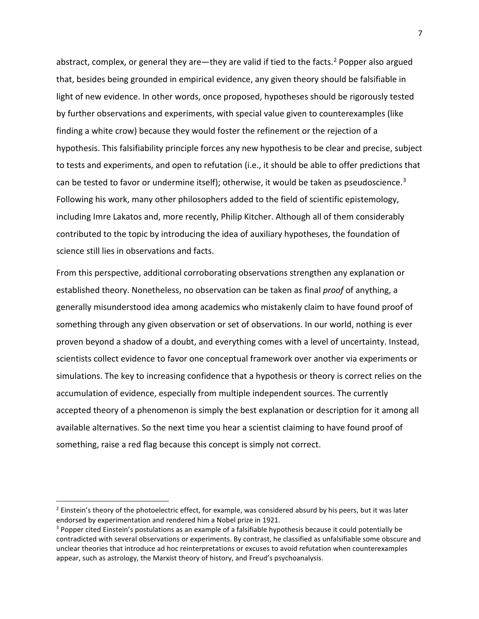abstract, complex, or general they are—they are valid if tied to the facts.<sup>[2](#page-6-0)</sup> Popper also argued that, besides being grounded in empirical evidence, any given theory should be falsifiable in light of new evidence. In other words, once proposed, hypotheses should be rigorously tested by further observations and experiments, with special value given to counterexamples (like finding a white crow) because they would foster the refinement or the rejection of a hypothesis. This falsifiability principle forces any new hypothesis to be clear and precise, subject to tests and experiments, and open to refutation (i.e., it should be able to offer predictions that can be tested to favor or undermine itself); otherwise, it would be taken as pseudoscience.<sup>[3](#page-6-1)</sup> Following his work, many other philosophers added to the field of scientific epistemology, including Imre Lakatos and, more recently, Philip Kitcher. Although all of them considerably contributed to the topic by introducing the idea of auxiliary hypotheses, the foundation of science still lies in observations and facts.

From this perspective, additional corroborating observations strengthen any explanation or established theory. Nonetheless, no observation can be taken as final *proof* of anything, a generally misunderstood idea among academics who mistakenly claim to have found proof of something through any given observation or set of observations. In our world, nothing is ever proven beyond a shadow of a doubt, and everything comes with a level of uncertainty. Instead, scientists collect evidence to favor one conceptual framework over another via experiments or simulations. The key to increasing confidence that a hypothesis or theory is correct relies on the accumulation of evidence, especially from multiple independent sources. The currently accepted theory of a phenomenon is simply the best explanation or description for it among all available alternatives. So the next time you hear a scientist claiming to have found proof of something, raise a red flag because this concept is simply not correct.

<span id="page-6-0"></span><sup>&</sup>lt;sup>2</sup> Einstein's theory of the photoelectric effect, for example, was considered absurd by his peers, but it was later endorsed by experimentation and rendered him a Nobel prize in 1921.

<span id="page-6-1"></span><sup>&</sup>lt;sup>3</sup> Popper cited Einstein's postulations as an example of a falsifiable hypothesis because it could potentially be contradicted with several observations or experiments. By contrast, he classified as unfalsifiable some obscure and unclear theories that introduce ad hoc reinterpretations or excuses to avoid refutation when counterexamples appear, such as astrology, the Marxist theory of history, and Freud's psychoanalysis.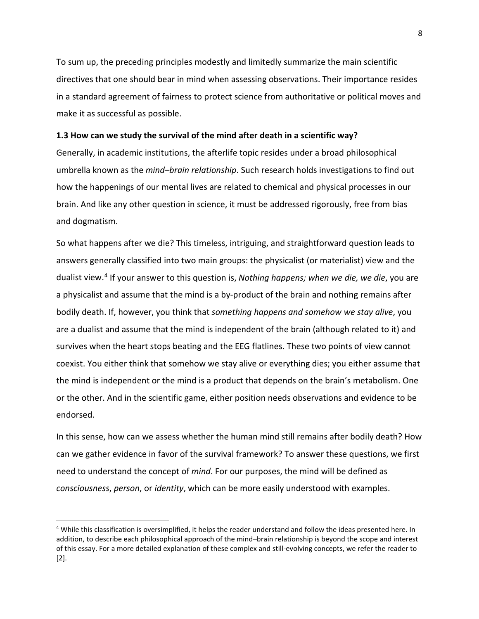To sum up, the preceding principles modestly and limitedly summarize the main scientific directives that one should bear in mind when assessing observations. Their importance resides in a standard agreement of fairness to protect science from authoritative or political moves and make it as successful as possible.

### **1.3 How can we study the survival of the mind after death in a scientific way?**

Generally, in academic institutions, the afterlife topic resides under a broad philosophical umbrella known as the *mind–brain relationship*. Such research holds investigations to find out how the happenings of our mental lives are related to chemical and physical processes in our brain. And like any other question in science, it must be addressed rigorously, free from bias and dogmatism.

So what happens after we die? This timeless, intriguing, and straightforward question leads to answers generally classified into two main groups: the physicalist (or materialist) view and the dualist view. [4](#page-7-0) If your answer to this question is, *Nothing happens; when we die, we die*, you are a physicalist and assume that the mind is a by-product of the brain and nothing remains after bodily death. If, however, you think that *something happens and somehow we stay alive*, you are a dualist and assume that the mind is independent of the brain (although related to it) and survives when the heart stops beating and the EEG flatlines. These two points of view cannot coexist. You either think that somehow we stay alive or everything dies; you either assume that the mind is independent or the mind is a product that depends on the brain's metabolism. One or the other. And in the scientific game, either position needs observations and evidence to be endorsed.

In this sense, how can we assess whether the human mind still remains after bodily death? How can we gather evidence in favor of the survival framework? To answer these questions, we first need to understand the concept of *mind*. For our purposes, the mind will be defined as *consciousness*, *person*, or *identity*, which can be more easily understood with examples.

<span id="page-7-0"></span><sup>4</sup> While this classification is oversimplified, it helps the reader understand and follow the ideas presented here. In addition, to describe each philosophical approach of the mind–brain relationship is beyond the scope and interest of this essay. For a more detailed explanation of these complex and still-evolving concepts, we refer the reader to [2].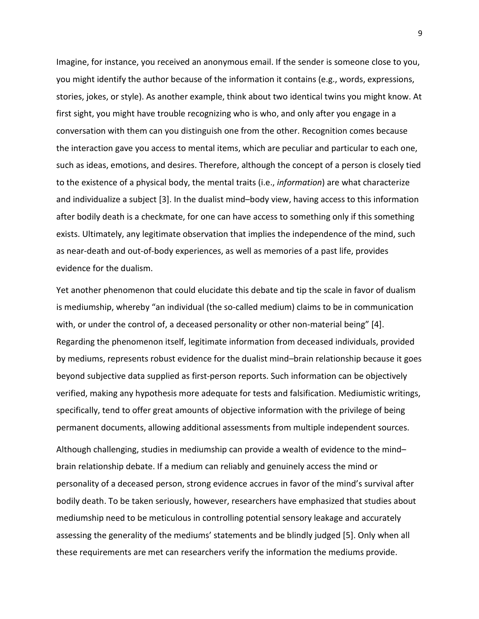Imagine, for instance, you received an anonymous email. If the sender is someone close to you, you might identify the author because of the information it contains (e.g., words, expressions, stories, jokes, or style). As another example, think about two identical twins you might know. At first sight, you might have trouble recognizing who is who, and only after you engage in a conversation with them can you distinguish one from the other. Recognition comes because the interaction gave you access to mental items, which are peculiar and particular to each one, such as ideas, emotions, and desires. Therefore, although the concept of a person is closely tied to the existence of a physical body, the mental traits (i.e., *information*) are what characterize and individualize a subject [3]. In the dualist mind–body view, having access to this information after bodily death is a checkmate, for one can have access to something only if this something exists. Ultimately, any legitimate observation that implies the independence of the mind, such as near-death and out-of-body experiences, as well as memories of a past life, provides evidence for the dualism.

Yet another phenomenon that could elucidate this debate and tip the scale in favor of dualism is mediumship, whereby "an individual (the so-called medium) claims to be in communication with, or under the control of, a deceased personality or other non-material being" [4]. Regarding the phenomenon itself, legitimate information from deceased individuals, provided by mediums, represents robust evidence for the dualist mind–brain relationship because it goes beyond subjective data supplied as first-person reports. Such information can be objectively verified, making any hypothesis more adequate for tests and falsification. Mediumistic writings, specifically, tend to offer great amounts of objective information with the privilege of being permanent documents, allowing additional assessments from multiple independent sources.

Although challenging, studies in mediumship can provide a wealth of evidence to the mind– brain relationship debate. If a medium can reliably and genuinely access the mind or personality of a deceased person, strong evidence accrues in favor of the mind's survival after bodily death. To be taken seriously, however, researchers have emphasized that studies about mediumship need to be meticulous in controlling potential sensory leakage and accurately assessing the generality of the mediums' statements and be blindly judged [5]. Only when all these requirements are met can researchers verify the information the mediums provide.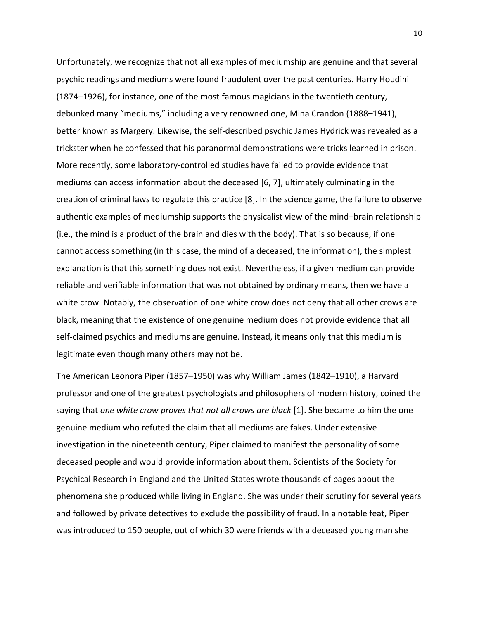Unfortunately, we recognize that not all examples of mediumship are genuine and that several psychic readings and mediums were found fraudulent over the past centuries. Harry Houdini (1874–1926), for instance, one of the most famous magicians in the twentieth century, debunked many "mediums," including a very renowned one, Mina Crandon (1888–1941), better known as Margery. Likewise, the self-described psychic James Hydrick was revealed as a trickster when he confessed that his paranormal demonstrations were tricks learned in prison. More recently, some laboratory-controlled studies have failed to provide evidence that mediums can access information about the deceased [6, 7], ultimately culminating in the creation of criminal laws to regulate this practice [8]. In the science game, the failure to observe authentic examples of mediumship supports the physicalist view of the mind–brain relationship (i.e., the mind is a product of the brain and dies with the body). That is so because, if one cannot access something (in this case, the mind of a deceased, the information), the simplest explanation is that this something does not exist. Nevertheless, if a given medium can provide reliable and verifiable information that was not obtained by ordinary means, then we have a white crow*.* Notably, the observation of one white crow does not deny that all other crows are black, meaning that the existence of one genuine medium does not provide evidence that all self-claimed psychics and mediums are genuine. Instead, it means only that this medium is legitimate even though many others may not be.

The American Leonora Piper (1857–1950) was why William James (1842–1910), a Harvard professor and one of the greatest psychologists and philosophers of modern history, coined the saying that *one white crow proves that not all crows are black* [1]. She became to him the one genuine medium who refuted the claim that all mediums are fakes. Under extensive investigation in the nineteenth century, Piper claimed to manifest the personality of some deceased people and would provide information about them. Scientists of the Society for Psychical Research in England and the United States wrote thousands of pages about the phenomena she produced while living in England. She was under their scrutiny for several years and followed by private detectives to exclude the possibility of fraud. In a notable feat, Piper was introduced to 150 people, out of which 30 were friends with a deceased young man she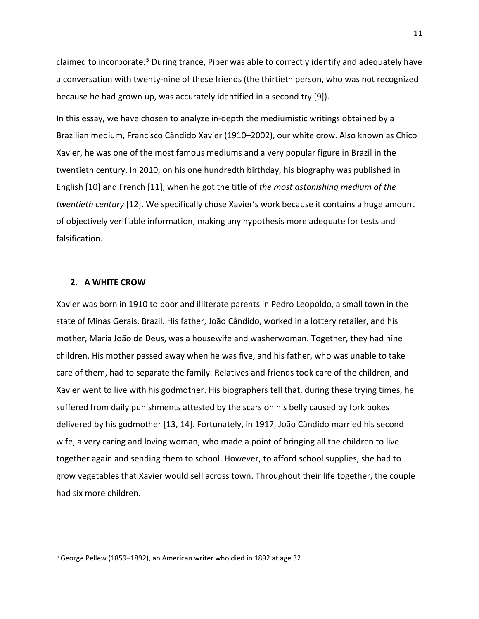claimed to incorporate.<sup>[5](#page-10-0)</sup> During trance, Piper was able to correctly identify and adequately have a conversation with twenty-nine of these friends (the thirtieth person, who was not recognized because he had grown up, was accurately identified in a second try [9]).

In this essay, we have chosen to analyze in-depth the mediumistic writings obtained by a Brazilian medium, Francisco Cândido Xavier (1910–2002), our white crow. Also known as Chico Xavier, he was one of the most famous mediums and a very popular figure in Brazil in the twentieth century. In 2010, on his one hundredth birthday, his biography was published in English [10] and French [11], when he got the title of *the most astonishing medium of the twentieth century* [12]. We specifically chose Xavier's work because it contains a huge amount of objectively verifiable information, making any hypothesis more adequate for tests and falsification.

## **2. A WHITE CROW**

Xavier was born in 1910 to poor and illiterate parents in Pedro Leopoldo, a small town in the state of Minas Gerais, Brazil. His father, João Cândido, worked in a lottery retailer, and his mother, Maria João de Deus, was a housewife and washerwoman. Together, they had nine children. His mother passed away when he was five, and his father, who was unable to take care of them, had to separate the family. Relatives and friends took care of the children, and Xavier went to live with his godmother. His biographers tell that, during these trying times, he suffered from daily punishments attested by the scars on his belly caused by fork pokes delivered by his godmother [13, 14]. Fortunately, in 1917, João Cândido married his second wife, a very caring and loving woman, who made a point of bringing all the children to live together again and sending them to school. However, to afford school supplies, she had to grow vegetables that Xavier would sell across town. Throughout their life together, the couple had six more children.

<span id="page-10-0"></span><sup>5</sup> George Pellew (1859–1892), an American writer who died in 1892 at age 32.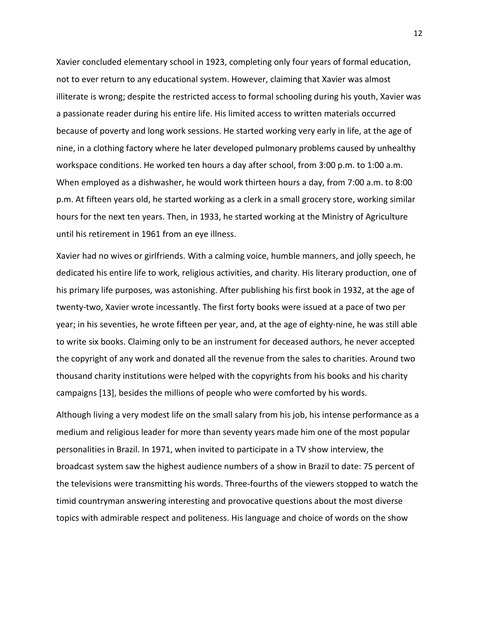Xavier concluded elementary school in 1923, completing only four years of formal education, not to ever return to any educational system. However, claiming that Xavier was almost illiterate is wrong; despite the restricted access to formal schooling during his youth, Xavier was a passionate reader during his entire life. His limited access to written materials occurred because of poverty and long work sessions. He started working very early in life, at the age of nine, in a clothing factory where he later developed pulmonary problems caused by unhealthy workspace conditions. He worked ten hours a day after school, from 3:00 p.m. to 1:00 a.m. When employed as a dishwasher, he would work thirteen hours a day, from 7:00 a.m. to 8:00 p.m. At fifteen years old, he started working as a clerk in a small grocery store, working similar hours for the next ten years. Then, in 1933, he started working at the Ministry of Agriculture until his retirement in 1961 from an eye illness.

Xavier had no wives or girlfriends. With a calming voice, humble manners, and jolly speech, he dedicated his entire life to work, religious activities, and charity. His literary production, one of his primary life purposes, was astonishing. After publishing his first book in 1932, at the age of twenty-two, Xavier wrote incessantly. The first forty books were issued at a pace of two per year; in his seventies, he wrote fifteen per year, and, at the age of eighty-nine, he was still able to write six books. Claiming only to be an instrument for deceased authors, he never accepted the copyright of any work and donated all the revenue from the sales to charities. Around two thousand charity institutions were helped with the copyrights from his books and his charity campaigns [13], besides the millions of people who were comforted by his words.

Although living a very modest life on the small salary from his job, his intense performance as a medium and religious leader for more than seventy years made him one of the most popular personalities in Brazil. In 1971, when invited to participate in a TV show interview, the broadcast system saw the highest audience numbers of a show in Brazil to date: 75 percent of the televisions were transmitting his words. Three-fourths of the viewers stopped to watch the timid countryman answering interesting and provocative questions about the most diverse topics with admirable respect and politeness. His language and choice of words on the show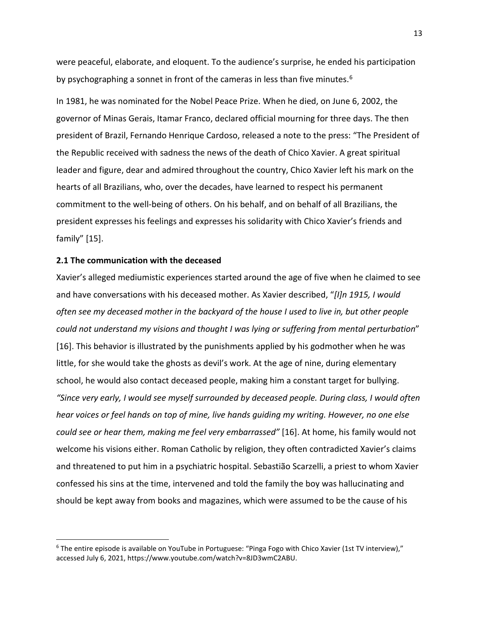were peaceful, elaborate, and eloquent. To the audience's surprise, he ended his participation by psychographing a sonnet in front of the cameras in less than five minutes.<sup>[6](#page-12-0)</sup>

In 1981, he was nominated for the Nobel Peace Prize. When he died, on June 6, 2002, the governor of Minas Gerais, Itamar Franco, declared official mourning for three days. The then president of Brazil, Fernando Henrique Cardoso, released a note to the press: "The President of the Republic received with sadness the news of the death of Chico Xavier. A great spiritual leader and figure, dear and admired throughout the country, Chico Xavier left his mark on the hearts of all Brazilians, who, over the decades, have learned to respect his permanent commitment to the well-being of others. On his behalf, and on behalf of all Brazilians, the president expresses his feelings and expresses his solidarity with Chico Xavier's friends and family" [15].

## **2.1 The communication with the deceased**

Xavier's alleged mediumistic experiences started around the age of five when he claimed to see and have conversations with his deceased mother. As Xavier described, "*[I]n 1915, I would* often see my deceased mother in the backyard of the house I used to live in, but other people *could not understand my visions and thought I was lying or suffering from mental perturbation*" [16]. This behavior is illustrated by the punishments applied by his godmother when he was little, for she would take the ghosts as devil's work. At the age of nine, during elementary school, he would also contact deceased people, making him a constant target for bullying. *"Since very early, I would see myself surrounded by deceased people. During class, I would often hear voices or feel hands on top of mine, live hands guiding my writing. However, no one else could see or hear them, making me feel very embarrassed"* [16]. At home, his family would not welcome his visions either. Roman Catholic by religion, they often contradicted Xavier's claims and threatened to put him in a psychiatric hospital. Sebastião Scarzelli, a priest to whom Xavier confessed his sins at the time, intervened and told the family the boy was hallucinating and should be kept away from books and magazines, which were assumed to be the cause of his

<span id="page-12-0"></span><sup>6</sup> The entire episode is available on YouTube in Portuguese: "Pinga Fogo with Chico Xavier (1st TV interview)," accessed July 6, 2021, [https://www.youtube.com/watch?v=8JD3wmC2ABU.](https://www.youtube.com/watch?v=8JD3wmC2ABU)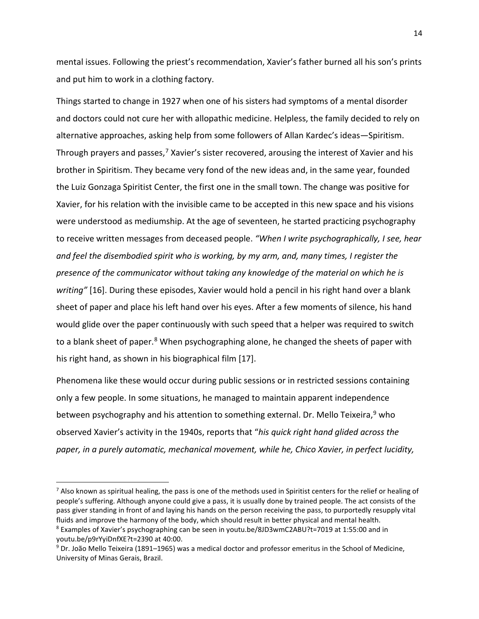mental issues. Following the priest's recommendation, Xavier's father burned all his son's prints and put him to work in a clothing factory.

Things started to change in 1927 when one of his sisters had symptoms of a mental disorder and doctors could not cure her with allopathic medicine. Helpless, the family decided to rely on alternative approaches, asking help from some followers of Allan Kardec's ideas—Spiritism. Through prayers and passes,<sup>[7](#page-13-0)</sup> Xavier's sister recovered, arousing the interest of Xavier and his brother in Spiritism. They became very fond of the new ideas and, in the same year, founded the Luiz Gonzaga Spiritist Center, the first one in the small town. The change was positive for Xavier, for his relation with the invisible came to be accepted in this new space and his visions were understood as mediumship. At the age of seventeen, he started practicing psychography to receive written messages from deceased people. *"When I write psychographically, I see, hear and feel the disembodied spirit who is working, by my arm, and, many times, I register the presence of the communicator without taking any knowledge of the material on which he is writing"* [16]. During these episodes, Xavier would hold a pencil in his right hand over a blank sheet of paper and place his left hand over his eyes. After a few moments of silence, his hand would glide over the paper continuously with such speed that a helper was required to switch to a blank sheet of paper.<sup>[8](#page-13-1)</sup> When psychographing alone, he changed the sheets of paper with his right hand, as shown in his biographical film [17].

Phenomena like these would occur during public sessions or in restricted sessions containing only a few people. In some situations, he managed to maintain apparent independence between psychography and his attention to something external. Dr. Mello Teixeira,<sup>[9](#page-13-2)</sup> who observed Xavier's activity in the 1940s, reports that "*his quick right hand glided across the paper, in a purely automatic, mechanical movement, while he, Chico Xavier, in perfect lucidity,*

<span id="page-13-0"></span> $<sup>7</sup>$  Also known as spiritual healing, the pass is one of the methods used in Spiritist centers for the relief or healing of</sup> people's suffering. Although anyone could give a pass, it is usually done by trained people. The act consists of the pass giver standing in front of and laying his hands on the person receiving the pass, to purportedly resupply vital fluids and improve the harmony of the body, which should result in better physical and mental health.

<span id="page-13-1"></span><sup>8</sup> Examples of Xavier's psychographing can be seen in [youtu.be/8JD3wmC2ABU?t=7019](file://Users/owner/Documents/New%20projects/PP/youtu.be/8JD3wmC2ABU%3ft=7019) at 1:55:00 and in [youtu.be/p9rYyiDnfXE?t=2390](file://Users/owner/Documents/New%20projects/PP/youtu.be/p9rYyiDnfXE%3ft=2390) at 40:00.

<span id="page-13-2"></span><sup>9</sup> Dr. João Mello Teixeira (1891–1965) was a medical doctor and professor emeritus in the School of Medicine, University of Minas Gerais, Brazil.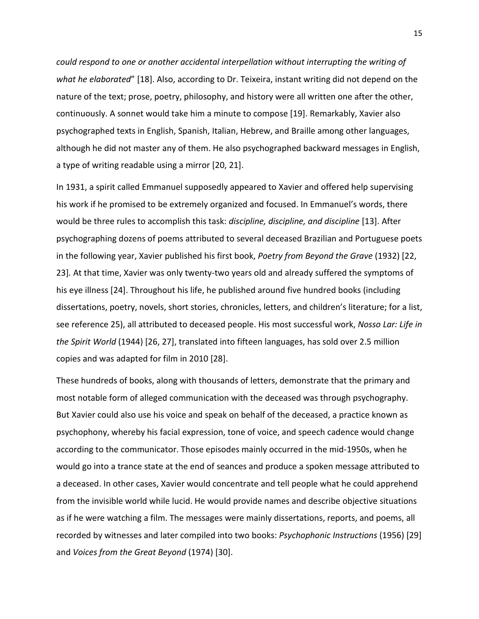*could respond to one or another accidental interpellation without interrupting the writing of what he elaborated*" [18]. Also, according to Dr. Teixeira, instant writing did not depend on the nature of the text; prose, poetry, philosophy, and history were all written one after the other, continuously. A sonnet would take him a minute to compose [19]. Remarkably, Xavier also psychographed texts in English, Spanish, Italian, Hebrew, and Braille among other languages, although he did not master any of them. He also psychographed backward messages in English, a type of writing readable using a mirror [20, 21].

In 1931, a spirit called Emmanuel supposedly appeared to Xavier and offered help supervising his work if he promised to be extremely organized and focused. In Emmanuel's words, there would be three rules to accomplish this task: *discipline, discipline, and discipline* [13]. After psychographing dozens of poems attributed to several deceased Brazilian and Portuguese poets in the following year, Xavier published his first book, *Poetry from Beyond the Grave* (1932) [22, 23]*.* At that time, Xavier was only twenty-two years old and already suffered the symptoms of his eye illness [24]. Throughout his life, he published around five hundred books (including dissertations, poetry, novels, short stories, chronicles, letters, and children's literature; for a list, see reference 25), all attributed to deceased people. His most successful work, *Nosso Lar: Life in the Spirit World* (1944) [26, 27], translated into fifteen languages, has sold over 2.5 million copies and was adapted for film in 2010 [28].

These hundreds of books, along with thousands of letters, demonstrate that the primary and most notable form of alleged communication with the deceased was through psychography. But Xavier could also use his voice and speak on behalf of the deceased, a practice known as psychophony, whereby his facial expression, tone of voice, and speech cadence would change according to the communicator. Those episodes mainly occurred in the mid-1950s, when he would go into a trance state at the end of seances and produce a spoken message attributed to a deceased. In other cases, Xavier would concentrate and tell people what he could apprehend from the invisible world while lucid. He would provide names and describe objective situations as if he were watching a film. The messages were mainly dissertations, reports, and poems, all recorded by witnesses and later compiled into two books: *Psychophonic Instructions* (1956) [29] and *Voices from the Great Beyond* (1974) [30].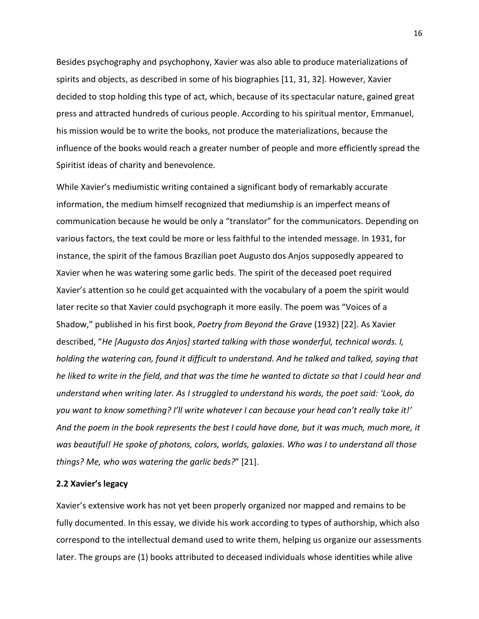Besides psychography and psychophony, Xavier was also able to produce materializations of spirits and objects, as described in some of his biographies [11, 31, 32]. However, Xavier decided to stop holding this type of act, which, because of its spectacular nature, gained great press and attracted hundreds of curious people. According to his spiritual mentor, Emmanuel, his mission would be to write the books, not produce the materializations, because the influence of the books would reach a greater number of people and more efficiently spread the Spiritist ideas of charity and benevolence.

While Xavier's mediumistic writing contained a significant body of remarkably accurate information, the medium himself recognized that mediumship is an imperfect means of communication because he would be only a "translator" for the communicators. Depending on various factors, the text could be more or less faithful to the intended message. In 1931, for instance, the spirit of the famous Brazilian poet Augusto dos Anjos supposedly appeared to Xavier when he was watering some garlic beds. The spirit of the deceased poet required Xavier's attention so he could get acquainted with the vocabulary of a poem the spirit would later recite so that Xavier could psychograph it more easily. The poem was "Voices of a Shadow," published in his first book, *Poetry from Beyond the Grave* (1932) [22]. As Xavier described, "*He [Augusto dos Anjos] started talking with those wonderful, technical words. I, holding the watering can, found it difficult to understand. And he talked and talked, saying that* he liked to write in the field, and that was the time he wanted to dictate so that I could hear and *understand when writing later. As I struggled to understand his words, the poet said: 'Look, do you want to know something? I'll write whatever I can because your head can't really take it!'* And the poem in the book represents the best I could have done, but it was much, much more, it *was beautiful! He spoke of photons, colors, worlds, galaxies. Who was I to understand all those things? Me, who was watering the garlic beds?*" [21].

## **2.2 Xavier's legacy**

Xavier's extensive work has not yet been properly organized nor mapped and remains to be fully documented. In this essay, we divide his work according to types of authorship, which also correspond to the intellectual demand used to write them, helping us organize our assessments later. The groups are (1) books attributed to deceased individuals whose identities while alive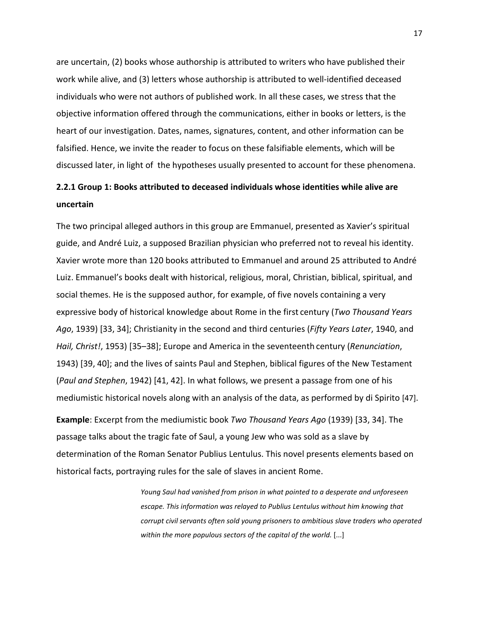are uncertain, (2) books whose authorship is attributed to writers who have published their work while alive, and (3) letters whose authorship is attributed to well-identified deceased individuals who were not authors of published work. In all these cases, we stress that the objective information offered through the communications, either in books or letters, is the heart of our investigation. Dates, names, signatures, content, and other information can be falsified. Hence, we invite the reader to focus on these falsifiable elements, which will be discussed later, in light of the hypotheses usually presented to account for these phenomena.

# **2.2.1 Group 1: Books attributed to deceased individuals whose identities while alive are uncertain**

The two principal alleged authors in this group are Emmanuel, presented as Xavier's spiritual guide, and André Luiz, a supposed Brazilian physician who preferred not to reveal his identity. Xavier wrote more than 120 books attributed to Emmanuel and around 25 attributed to André Luiz. Emmanuel's books dealt with historical, religious, moral, Christian, biblical, spiritual, and social themes. He is the supposed author, for example, of five novels containing a very expressive body of historical knowledge about Rome in the first century (*Two Thousand Years Ago*, 1939) [33, 34]; Christianity in the second and third centuries (*Fifty Years Later*, 1940, and *Hail, Christ!*, 1953) [35–38]; Europe and America in the seventeenth century (*Renunciation*, 1943) [39, 40]; and the lives of saints Paul and Stephen, biblical figures of the New Testament (*Paul and Stephen*, 1942) [41, 42]. In what follows, we present a passage from one of his mediumistic historical novels along with an analysis of the data, as performed by di Spirito [47].

**Example**: Excerpt from the mediumistic book *Two Thousand Years Ago* (1939) [33, 34]. The passage talks about the tragic fate of Saul, a young Jew who was sold as a slave by determination of the Roman Senator Publius Lentulus. This novel presents elements based on historical facts, portraying rules for the sale of slaves in ancient Rome.

> *Young Saul had vanished from prison in what pointed to a desperate and unforeseen escape. This information was relayed to Publius Lentulus without him knowing that corrupt civil servants often sold young prisoners to ambitious slave traders who operated within the more populous sectors of the capital of the world.* [...]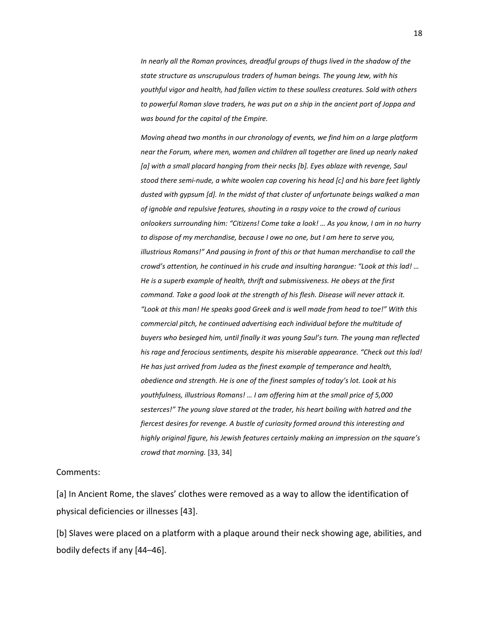*In nearly all the Roman provinces, dreadful groups of thugs lived in the shadow of the state structure as unscrupulous traders of human beings. The young Jew, with his youthful vigor and health, had fallen victim to these soulless creatures. Sold with others to powerful Roman slave traders, he was put on a ship in the ancient port of Joppa and was bound for the capital of the Empire.*

*Moving ahead two months in our chronology of events, we find him on a large platform near the Forum, where men, women and children all together are lined up nearly naked [a] with a small placard hanging from their necks [b]. Eyes ablaze with revenge, Saul stood there semi-nude, a white woolen cap covering his head [c] and his bare feet lightly dusted with gypsum [d]. In the midst of that cluster of unfortunate beings walked a man of ignoble and repulsive features, shouting in a raspy voice to the crowd of curious onlookers surrounding him: "Citizens! Come take a look! … As you know, I am in no hurry to dispose of my merchandise, because I owe no one, but I am here to serve you, illustrious Romans!" And pausing in front of this or that human merchandise to call the crowd's attention, he continued in his crude and insulting harangue: "Look at this lad! … He is a superb example of health, thrift and submissiveness. He obeys at the first command. Take a good look at the strength of his flesh. Disease will never attack it. "Look at this man! He speaks good Greek and is well made from head to toe!" With this commercial pitch, he continued advertising each individual before the multitude of buyers who besieged him, until finally it was young Saul's turn. The young man reflected his rage and ferocious sentiments, despite his miserable appearance. "Check out this lad! He has just arrived from Judea as the finest example of temperance and health, obedience and strength. He is one of the finest samples of today's lot. Look at his youthfulness, illustrious Romans! … I am offering him at the small price of 5,000 sesterces!" The young slave stared at the trader, his heart boiling with hatred and the fiercest desires for revenge. A bustle of curiosity formed around this interesting and highly original figure, his Jewish features certainly making an impression on the square's crowd that morning.* [33, 34]

## Comments:

[a] In Ancient Rome, the slaves' clothes were removed as a way to allow the identification of physical deficiencies or illnesses [43].

[b] Slaves were placed on a platform with a plaque around their neck showing age, abilities, and bodily defects if any [44–46].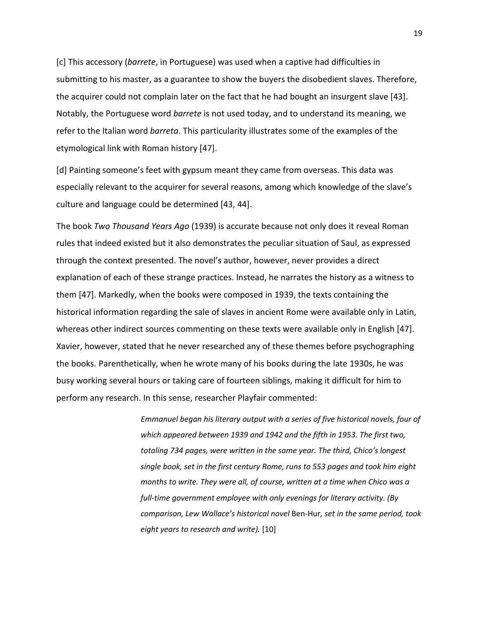[c] This accessory (*barrete*, in Portuguese) was used when a captive had difficulties in submitting to his master, as a guarantee to show the buyers the disobedient slaves. Therefore, the acquirer could not complain later on the fact that he had bought an insurgent slave [43]. Notably, the Portuguese word *barrete* is not used today, and to understand its meaning, we refer to the Italian word *barreta*. This particularity illustrates some of the examples of the etymological link with Roman history [47].

[d] Painting someone's feet with gypsum meant they came from overseas. This data was especially relevant to the acquirer for several reasons, among which knowledge of the slave's culture and language could be determined [43, 44].

The book *Two Thousand Years Ago* (1939) is accurate because not only does it reveal Roman rules that indeed existed but it also demonstrates the peculiar situation of Saul, as expressed through the context presented. The novel's author, however, never provides a direct explanation of each of these strange practices. Instead, he narrates the history as a witness to them [47]. Markedly, when the books were composed in 1939, the texts containing the historical information regarding the sale of slaves in ancient Rome were available only in Latin, whereas other indirect sources commenting on these texts were available only in English [47]. Xavier, however, stated that he never researched any of these themes before psychographing the books. Parenthetically, when he wrote many of his books during the late 1930s, he was busy working several hours or taking care of fourteen siblings, making it difficult for him to perform any research. In this sense, researcher Playfair commented:

> *Emmanuel began his literary output with a series of five historical novels, four of which appeared between 1939 and 1942 and the fifth in 1953. The first two, totaling 734 pages, were written in the same year. The third, Chico's longest single book, set in the first century Rome, runs to 553 pages and took him eight months to write. They were all, of course, written at a time when Chico was a full-time government employee with only evenings for literary activity. (By comparison, Lew Wallace's historical novel* Ben-Hur*, set in the same period, took eight years to research and write).* [10]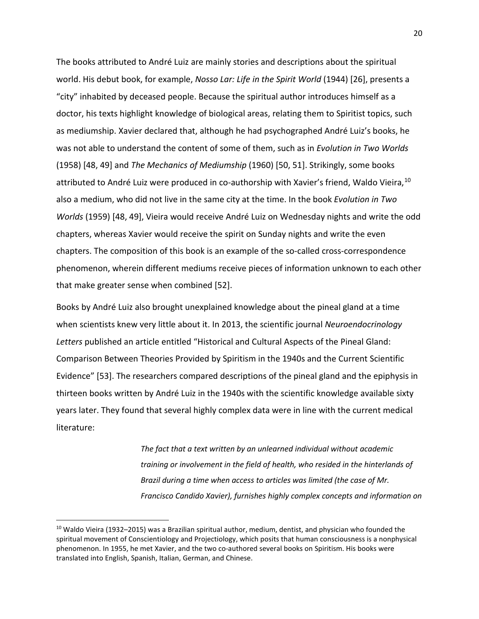The books attributed to André Luiz are mainly stories and descriptions about the spiritual world. His debut book, for example, *Nosso Lar: Life in the Spirit World* (1944) [26], presents a "city" inhabited by deceased people. Because the spiritual author introduces himself as a doctor, his texts highlight knowledge of biological areas, relating them to Spiritist topics, such as mediumship. Xavier declared that, although he had psychographed André Luiz's books, he was not able to understand the content of some of them, such as in *Evolution in Two Worlds* (1958) [48, 49] and *The Mechanics of Mediumship* (1960) [50, 51]. Strikingly, some books attributed to André Luiz were produced in co-authorship with Xavier's friend, Waldo Vieira, <sup>[10](#page-19-0)</sup> also a medium, who did not live in the same city at the time. In the book *Evolution in Two Worlds* (1959) [48, 49], Vieira would receive André Luiz on Wednesday nights and write the odd chapters, whereas Xavier would receive the spirit on Sunday nights and write the even chapters. The composition of this book is an example of the so-called cross-correspondence phenomenon, wherein different mediums receive pieces of information unknown to each other that make greater sense when combined [52].

Books by André Luiz also brought unexplained knowledge about the pineal gland at a time when scientists knew very little about it. In 2013, the scientific journal *Neuroendocrinology Letters* published an article entitled "Historical and Cultural Aspects of the Pineal Gland: Comparison Between Theories Provided by Spiritism in the 1940s and the Current Scientific Evidence" [53]. The researchers compared descriptions of the pineal gland and the epiphysis in thirteen books written by André Luiz in the 1940s with the scientific knowledge available sixty years later. They found that several highly complex data were in line with the current medical literature:

> *The fact that a text written by an unlearned individual without academic training or involvement in the field of health, who resided in the hinterlands of Brazil during a time when access to articles was limited (the case of Mr. Francisco Candido Xavier), furnishes highly complex concepts and information on*

<span id="page-19-0"></span><sup>&</sup>lt;sup>10</sup> Waldo Vieira (1932–2015) was a Brazilian spiritual author, medium, dentist, and physician who founded the spiritual movement of Conscientiology and Projectiology, which posits that human consciousness is a nonphysical phenomenon. In 1955, he met Xavier, and the two co-authored several books on Spiritism. His books were translated into English, Spanish, Italian, German, and Chinese.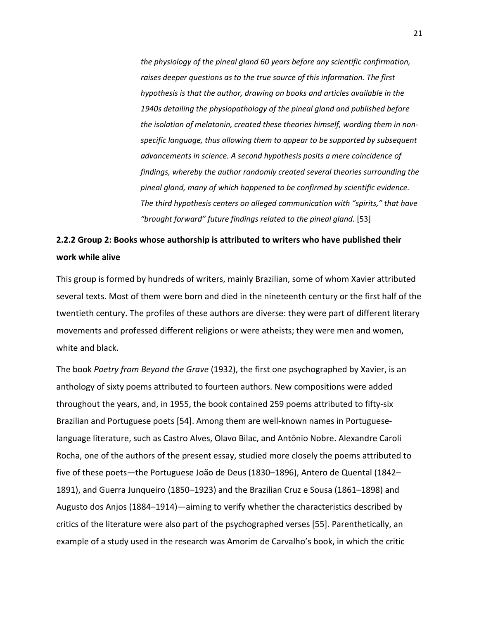*the physiology of the pineal gland 60 years before any scientific confirmation, raises deeper questions as to the true source of this information. The first hypothesis is that the author, drawing on books and articles available in the 1940s detailing the physiopathology of the pineal gland and published before the isolation of melatonin, created these theories himself, wording them in nonspecific language, thus allowing them to appear to be supported by subsequent advancements in science. A second hypothesis posits a mere coincidence of findings, whereby the author randomly created several theories surrounding the pineal gland, many of which happened to be confirmed by scientific evidence. The third hypothesis centers on alleged communication with "spirits," that have "brought forward" future findings related to the pineal gland.* [53]

# **2.2.2 Group 2: Books whose authorship is attributed to writers who have published their work while alive**

This group is formed by hundreds of writers, mainly Brazilian, some of whom Xavier attributed several texts. Most of them were born and died in the nineteenth century or the first half of the twentieth century. The profiles of these authors are diverse: they were part of different literary movements and professed different religions or were atheists; they were men and women, white and black.

The book *Poetry from Beyond the Grave* (1932), the first one psychographed by Xavier, is an anthology of sixty poems attributed to fourteen authors. New compositions were added throughout the years, and, in 1955, the book contained 259 poems attributed to fifty-six Brazilian and Portuguese poets [54]. Among them are well-known names in Portugueselanguage literature, such as Castro Alves, Olavo Bilac, and Antônio Nobre. Alexandre Caroli Rocha, one of the authors of the present essay, studied more closely the poems attributed to five of these poets—the Portuguese João de Deus (1830–1896), Antero de Quental (1842– 1891), and Guerra Junqueiro (1850–1923) and the Brazilian Cruz e Sousa (1861–1898) and Augusto dos Anjos (1884–1914)—aiming to verify whether the characteristics described by critics of the literature were also part of the psychographed verses [55]. Parenthetically, an example of a study used in the research was Amorim de Carvalho's book, in which the critic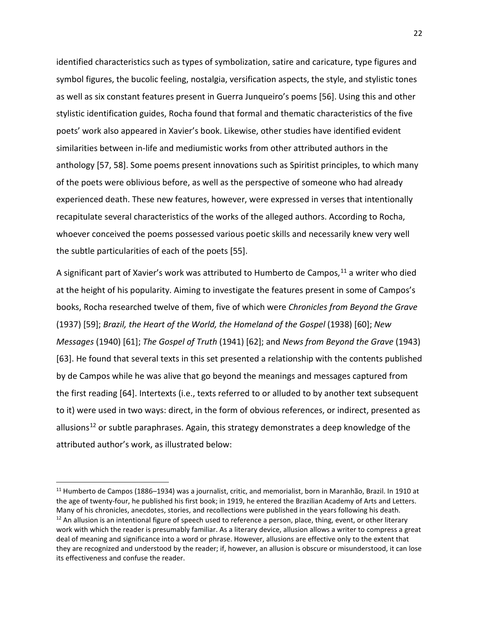identified characteristics such as types of symbolization, satire and caricature, type figures and symbol figures, the bucolic feeling, nostalgia, versification aspects, the style, and stylistic tones as well as six constant features present in Guerra Junqueiro's poems [56]. Using this and other stylistic identification guides, Rocha found that formal and thematic characteristics of the five poets' work also appeared in Xavier's book. Likewise, other studies have identified evident similarities between in-life and mediumistic works from other attributed authors in the anthology [57, 58]. Some poems present innovations such as Spiritist principles, to which many of the poets were oblivious before, as well as the perspective of someone who had already experienced death. These new features, however, were expressed in verses that intentionally recapitulate several characteristics of the works of the alleged authors. According to Rocha, whoever conceived the poems possessed various poetic skills and necessarily knew very well the subtle particularities of each of the poets [55].

A significant part of Xavier's work was attributed to Humberto de Campos,<sup>[11](#page-21-0)</sup> a writer who died at the height of his popularity. Aiming to investigate the features present in some of Campos's books, Rocha researched twelve of them, five of which were *Chronicles from Beyond the Grave* (1937) [59]; *Brazil, the Heart of the World, the Homeland of the Gospel* (1938) [60]; *New Messages* (1940) [61]; *The Gospel of Truth* (1941) [62]; and *News from Beyond the Grave* (1943) [63]. He found that several texts in this set presented a relationship with the contents published by de Campos while he was alive that go beyond the meanings and messages captured from the first reading [64]. Intertexts (i.e., texts referred to or alluded to by another text subsequent to it) were used in two ways: direct, in the form of obvious references, or indirect, presented as allusions<sup>[12](#page-21-1)</sup> or subtle paraphrases. Again, this strategy demonstrates a deep knowledge of the attributed author's work, as illustrated below:

<span id="page-21-1"></span><span id="page-21-0"></span> $11$  Humberto de Campos (1886–1934) was a journalist, critic, and memorialist, born in Maranhão, Brazil. In 1910 at the age of twenty-four, he published his first book; in 1919, he entered the Brazilian Academy of Arts and Letters. Many of his chronicles, anecdotes, stories, and recollections were published in the years following his death.  $12$  An allusion is an intentional figure of speech used to reference a person, place, thing, event, or other literary work with which the reader is presumably familiar. As a literary device, allusion allows a writer to compress a great deal of meaning and significance into a word or phrase. However, allusions are effective only to the extent that they are recognized and understood by the reader; if, however, an allusion is obscure or misunderstood, it can lose its effectiveness and confuse the reader.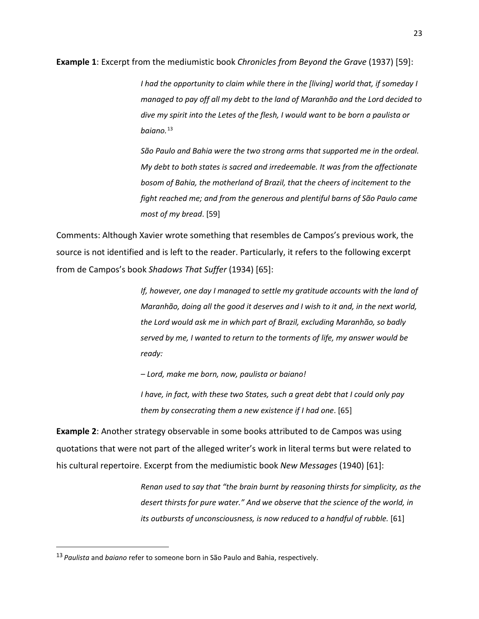**Example 1**: Excerpt from the mediumistic book *Chronicles from Beyond the Grave* (1937) [59]:

*I had the opportunity to claim while there in the [living] world that, if someday I managed to pay off all my debt to the land of Maranhão and the Lord decided to dive my spirit into the Letes of the flesh, I would want to be born a paulista or baiano.* [13](#page-22-0)

*São Paulo and Bahia were the two strong arms that supported me in the ordeal. My debt to both states is sacred and irredeemable. It was from the affectionate bosom of Bahia, the motherland of Brazil, that the cheers of incitement to the fight reached me; and from the generous and plentiful barns of São Paulo came most of my bread*. [59]

Comments: Although Xavier wrote something that resembles de Campos's previous work, the source is not identified and is left to the reader. Particularly, it refers to the following excerpt from de Campos's book *Shadows That Suffer* (1934) [65]:

> *If, however, one day I managed to settle my gratitude accounts with the land of Maranhão, doing all the good it deserves and I wish to it and, in the next world, the Lord would ask me in which part of Brazil, excluding Maranhão, so badly served by me, I wanted to return to the torments of life, my answer would be ready:*

*– Lord, make me born, now, paulista or baiano!*

*I have, in fact, with these two States, such a great debt that I could only pay them by consecrating them a new existence if I had one*. [65]

**Example 2**: Another strategy observable in some books attributed to de Campos was using quotations that were not part of the alleged writer's work in literal terms but were related to his cultural repertoire. Excerpt from the mediumistic book *New Messages* (1940) [61]:

> *Renan used to say that "the brain burnt by reasoning thirsts for simplicity, as the desert thirsts for pure water." And we observe that the science of the world, in its outbursts of unconsciousness, is now reduced to a handful of rubble.* [61]

<span id="page-22-0"></span><sup>13</sup> *Paulista* and *baiano* refer to someone born in São Paulo and Bahia, respectively.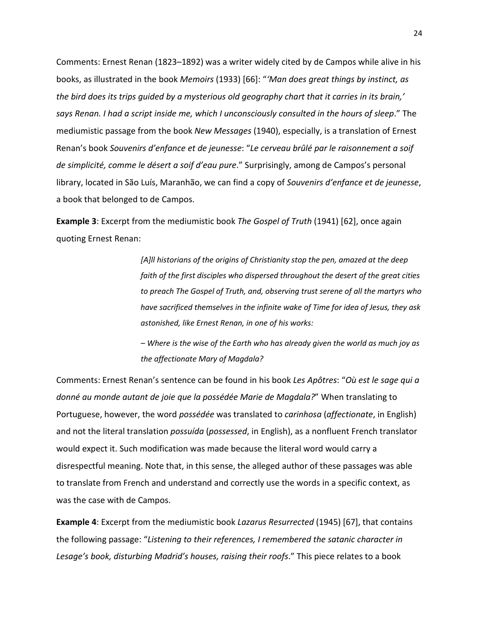Comments: Ernest Renan (1823–1892) was a writer widely cited by de Campos while alive in his books, as illustrated in the book *Memoirs* (1933) [66]: "*'Man does great things by instinct, as the bird does its trips guided by a mysterious old geography chart that it carries in its brain,' says Renan. I had a script inside me, which I unconsciously consulted in the hours of sleep*." The mediumistic passage from the book *New Messages* (1940), especially, is a translation of Ernest Renan's book *Souvenirs d'enfance et de jeunesse*: "*Le cerveau brûlé par le raisonnement a soif de simplicité, comme le désert a soif d'eau pure*." Surprisingly, among de Campos's personal library, located in São Luís, Maranhão, we can find a copy of *Souvenirs d'enfance et de jeunesse*, a book that belonged to de Campos.

**Example 3**: Excerpt from the mediumistic book *The Gospel of Truth* (1941) [62], once again quoting Ernest Renan:

> *[A]ll historians of the origins of Christianity stop the pen, amazed at the deep faith of the first disciples who dispersed throughout the desert of the great cities to preach The Gospel of Truth, and, observing trust serene of all the martyrs who have sacrificed themselves in the infinite wake of Time for idea of Jesus, they ask astonished, like Ernest Renan, in one of his works:*

> *– Where is the wise of the Earth who has already given the world as much joy as the affectionate Mary of Magdala?*

Comments: Ernest Renan's sentence can be found in his book *Les Apôtres*: "*Où est le sage qui a donné au monde autant de joie que la possédée Marie de Magdala?*" When translating to Portuguese, however, the word *possédée* was translated to *carinhosa* (*affectionate*, in English) and not the literal translation *possuída* (*possessed*, in English), as a nonfluent French translator would expect it. Such modification was made because the literal word would carry a disrespectful meaning. Note that, in this sense, the alleged author of these passages was able to translate from French and understand and correctly use the words in a specific context, as was the case with de Campos.

**Example 4**: Excerpt from the mediumistic book *Lazarus Resurrected* (1945) [67], that contains the following passage: "*Listening to their references, I remembered the satanic character in Lesage's book, disturbing Madrid's houses, raising their roofs*." This piece relates to a book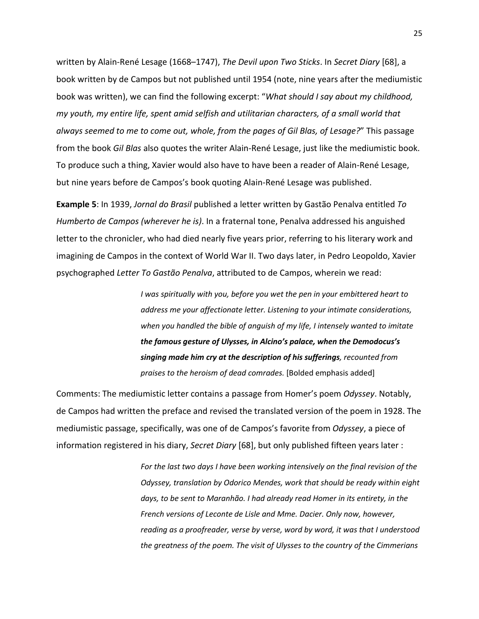written by Alain-René Lesage (1668–1747), *The Devil upon Two Sticks*. In *Secret Diary* [68], a book written by de Campos but not published until 1954 (note, nine years after the mediumistic book was written), we can find the following excerpt: "*What should I say about my childhood, my youth, my entire life, spent amid selfish and utilitarian characters, of a small world that always seemed to me to come out, whole, from the pages of Gil Blas, of Lesage?*" This passage from the book *Gil Blas* also quotes the writer Alain-René Lesage, just like the mediumistic book. To produce such a thing, Xavier would also have to have been a reader of Alain-René Lesage, but nine years before de Campos's book quoting Alain-René Lesage was published.

**Example 5**: In 1939, *Jornal do Brasil* published a letter written by Gastão Penalva entitled *To Humberto de Campos (wherever he is)*. In a fraternal tone, Penalva addressed his anguished letter to the chronicler, who had died nearly five years prior, referring to his literary work and imagining de Campos in the context of World War II. Two days later, in Pedro Leopoldo, Xavier psychographed *Letter To Gastão Penalva*, attributed to de Campos, wherein we read:

> *I was spiritually with you, before you wet the pen in your embittered heart to address me your affectionate letter. Listening to your intimate considerations, when you handled the bible of anguish of my life, I intensely wanted to imitate the famous gesture of Ulysses, in Alcino's palace, when the Demodocus's singing made him cry at the description of his sufferings, recounted from praises to the heroism of dead comrades.* [Bolded emphasis added]

Comments: The mediumistic letter contains a passage from Homer's poem *Odyssey*. Notably, de Campos had written the preface and revised the translated version of the poem in 1928. The mediumistic passage, specifically, was one of de Campos's favorite from *Odyssey*, a piece of information registered in his diary, *Secret Diary* [68], but only published fifteen years later :

> *For the last two days I have been working intensively on the final revision of the Odyssey, translation by Odorico Mendes, work that should be ready within eight days, to be sent to Maranhão. I had already read Homer in its entirety, in the French versions of Leconte de Lisle and Mme. Dacier. Only now, however, reading as a proofreader, verse by verse, word by word, it was that I understood the greatness of the poem. The visit of Ulysses to the country of the Cimmerians*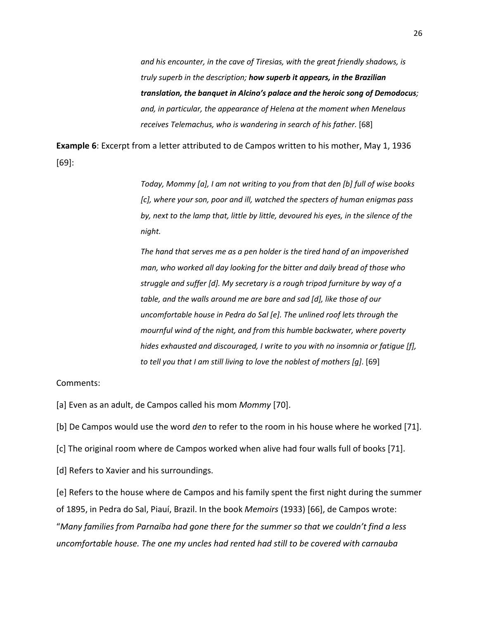*and his encounter, in the cave of Tiresias, with the great friendly shadows, is truly superb in the description; how superb it appears, in the Brazilian translation, the banquet in Alcino's palace and the heroic song of Demodocus; and, in particular, the appearance of Helena at the moment when Menelaus receives Telemachus, who is wandering in search of his father.* [68]

**Example 6**: Excerpt from a letter attributed to de Campos written to his mother, May 1, 1936 [69]:

> *Today, Mommy [a], I am not writing to you from that den [b] full of wise books [c], where your son, poor and ill, watched the specters of human enigmas pass by, next to the lamp that, little by little, devoured his eyes, in the silence of the night.*

> *The hand that serves me as a pen holder is the tired hand of an impoverished man, who worked all day looking for the bitter and daily bread of those who struggle and suffer [d]. My secretary is a rough tripod furniture by way of a table, and the walls around me are bare and sad [d], like those of our uncomfortable house in Pedra do Sal [e]. The unlined roof lets through the mournful wind of the night, and from this humble backwater, where poverty hides exhausted and discouraged, I write to you with no insomnia or fatigue [f], to tell you that I am still living to love the noblest of mothers [g]*. [69]

## Comments:

[a] Even as an adult, de Campos called his mom *Mommy* [70].

[b] De Campos would use the word *den* to refer to the room in his house where he worked [71].

- [c] The original room where de Campos worked when alive had four walls full of books [71].
- [d] Refers to Xavier and his surroundings.

[e] Refers to the house where de Campos and his family spent the first night during the summer of 1895, in Pedra do Sal, Piauí, Brazil. In the book *Memoirs* (1933) [66], de Campos wrote: "*Many families from Parnaíba had gone there for the summer so that we couldn't find a less uncomfortable house. The one my uncles had rented had still to be covered with carnauba*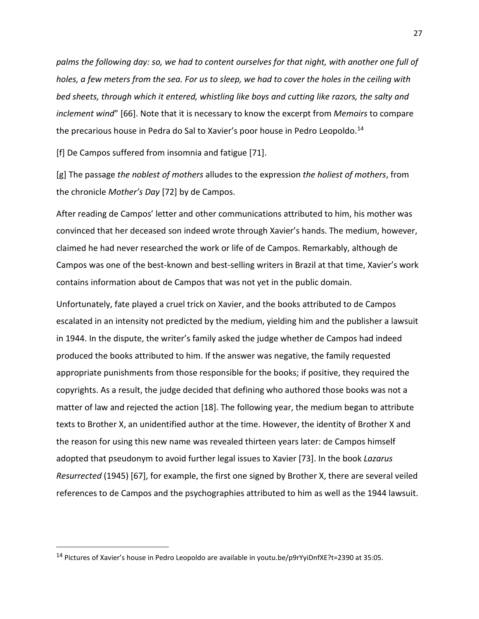*palms the following day: so, we had to content ourselves for that night, with another one full of* holes, a few meters from the sea. For us to sleep, we had to cover the holes in the ceiling with *bed sheets, through which it entered, whistling like boys and cutting like razors, the salty and inclement wind*" [66]. Note that it is necessary to know the excerpt from *Memoirs* to compare the precarious house in Pedra do Sal to Xavier's poor house in Pedro Leopoldo.<sup>[14](#page-26-0)</sup>

[f] De Campos suffered from insomnia and fatigue [71].

[g] The passage *the noblest of mothers* alludes to the expression *the holiest of mothers*, from the chronicle *Mother's Day* [72] by de Campos.

After reading de Campos' letter and other communications attributed to him, his mother was convinced that her deceased son indeed wrote through Xavier's hands. The medium, however, claimed he had never researched the work or life of de Campos. Remarkably, although de Campos was one of the best-known and best-selling writers in Brazil at that time, Xavier's work contains information about de Campos that was not yet in the public domain.

Unfortunately, fate played a cruel trick on Xavier, and the books attributed to de Campos escalated in an intensity not predicted by the medium, yielding him and the publisher a lawsuit in 1944. In the dispute, the writer's family asked the judge whether de Campos had indeed produced the books attributed to him. If the answer was negative, the family requested appropriate punishments from those responsible for the books; if positive, they required the copyrights. As a result, the judge decided that defining who authored those books was not a matter of law and rejected the action [18]. The following year, the medium began to attribute texts to Brother X, an unidentified author at the time. However, the identity of Brother X and the reason for using this new name was revealed thirteen years later: de Campos himself adopted that pseudonym to avoid further legal issues to Xavier [73]. In the book *Lazarus Resurrected* (1945) [67], for example, the first one signed by Brother X, there are several veiled references to de Campos and the psychographies attributed to him as well as the 1944 lawsuit.

<span id="page-26-0"></span><sup>&</sup>lt;sup>14</sup> Pictures of Xavier's house in Pedro Leopoldo are available in youtu.be/p9rYyiDnfXE?t=2390 at 35:05.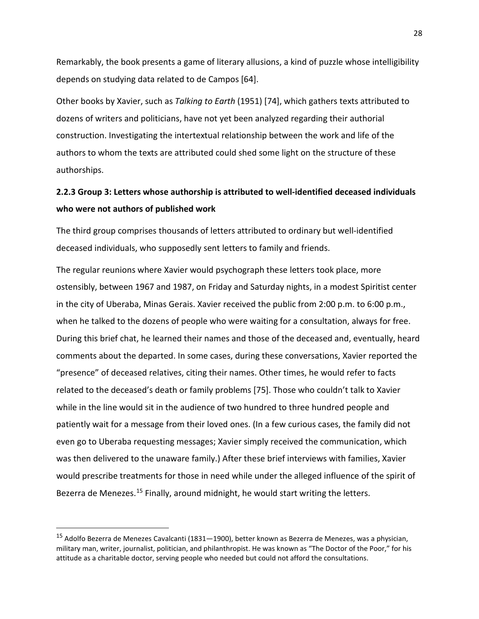Remarkably, the book presents a game of literary allusions, a kind of puzzle whose intelligibility depends on studying data related to de Campos [64].

Other books by Xavier, such as *Talking to Earth* (1951) [74], which gathers texts attributed to dozens of writers and politicians, have not yet been analyzed regarding their authorial construction. Investigating the intertextual relationship between the work and life of the authors to whom the texts are attributed could shed some light on the structure of these authorships.

# **2.2.3 Group 3: Letters whose authorship is attributed to well-identified deceased individuals who were not authors of published work**

The third group comprises thousands of letters attributed to ordinary but well-identified deceased individuals, who supposedly sent letters to family and friends.

The regular reunions where Xavier would psychograph these letters took place, more ostensibly, between 1967 and 1987, on Friday and Saturday nights, in a modest Spiritist center in the city of Uberaba, Minas Gerais. Xavier received the public from 2:00 p.m. to 6:00 p.m., when he talked to the dozens of people who were waiting for a consultation, always for free. During this brief chat, he learned their names and those of the deceased and, eventually, heard comments about the departed. In some cases, during these conversations, Xavier reported the "presence" of deceased relatives, citing their names. Other times, he would refer to facts related to the deceased's death or family problems [75]. Those who couldn't talk to Xavier while in the line would sit in the audience of two hundred to three hundred people and patiently wait for a message from their loved ones. (In a few curious cases, the family did not even go to Uberaba requesting messages; Xavier simply received the communication, which was then delivered to the unaware family.) After these brief interviews with families, Xavier would prescribe treatments for those in need while under the alleged influence of the spirit of Bezerra de Menezes.<sup>[15](#page-27-0)</sup> Finally, around midnight, he would start writing the letters.

<span id="page-27-0"></span><sup>&</sup>lt;sup>15</sup> Adolfo Bezerra de Menezes Cavalcanti (1831—1900), better known as Bezerra de Menezes, was a physician, military man, writer, journalist, politician, and philanthropist. He was known as "The Doctor of the Poor," for his attitude as a charitable doctor, serving people who needed but could not afford the consultations.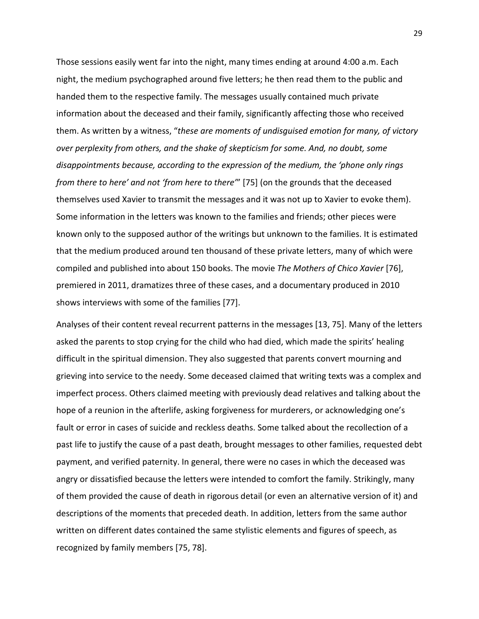Those sessions easily went far into the night, many times ending at around 4:00 a.m. Each night, the medium psychographed around five letters; he then read them to the public and handed them to the respective family. The messages usually contained much private information about the deceased and their family, significantly affecting those who received them. As written by a witness, "*these are moments of undisguised emotion for many, of victory over perplexity from others, and the shake of skepticism for some. And, no doubt, some disappointments because, according to the expression of the medium, the 'phone only rings from there to here' and not 'from here to there'*" [75] (on the grounds that the deceased themselves used Xavier to transmit the messages and it was not up to Xavier to evoke them). Some information in the letters was known to the families and friends; other pieces were known only to the supposed author of the writings but unknown to the families. It is estimated that the medium produced around ten thousand of these private letters, many of which were compiled and published into about 150 books. The movie *The Mothers of Chico Xavier* [76], premiered in 2011, dramatizes three of these cases, and a documentary produced in 2010 shows interviews with some of the families [77].

Analyses of their content reveal recurrent patterns in the messages [13, 75]. Many of the letters asked the parents to stop crying for the child who had died, which made the spirits' healing difficult in the spiritual dimension. They also suggested that parents convert mourning and grieving into service to the needy. Some deceased claimed that writing texts was a complex and imperfect process. Others claimed meeting with previously dead relatives and talking about the hope of a reunion in the afterlife, asking forgiveness for murderers, or acknowledging one's fault or error in cases of suicide and reckless deaths. Some talked about the recollection of a past life to justify the cause of a past death, brought messages to other families, requested debt payment, and verified paternity. In general, there were no cases in which the deceased was angry or dissatisfied because the letters were intended to comfort the family. Strikingly, many of them provided the cause of death in rigorous detail (or even an alternative version of it) and descriptions of the moments that preceded death. In addition, letters from the same author written on different dates contained the same stylistic elements and figures of speech, as recognized by family members [75, 78].

29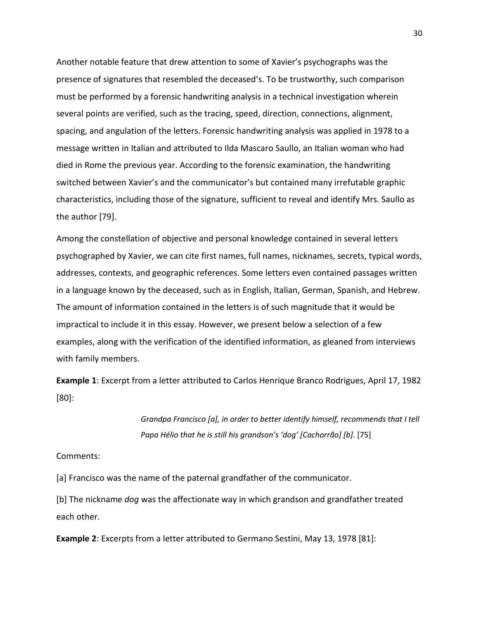Another notable feature that drew attention to some of Xavier's psychographs was the presence of signatures that resembled the deceased's. To be trustworthy, such comparison must be performed by a forensic handwriting analysis in a technical investigation wherein several points are verified, such as the tracing, speed, direction, connections, alignment, spacing, and angulation of the letters. Forensic handwriting analysis was applied in 1978 to a message written in Italian and attributed to Ilda Mascaro Saullo, an Italian woman who had died in Rome the previous year. According to the forensic examination, the handwriting switched between Xavier's and the communicator's but contained many irrefutable graphic characteristics, including those of the signature, sufficient to reveal and identify Mrs. Saullo as the author [79].

Among the constellation of objective and personal knowledge contained in several letters psychographed by Xavier, we can cite first names, full names, nicknames, secrets, typical words, addresses, contexts, and geographic references. Some letters even contained passages written in a language known by the deceased, such as in English, Italian, German, Spanish, and Hebrew. The amount of information contained in the letters is of such magnitude that it would be impractical to include it in this essay. However, we present below a selection of a few examples, along with the verification of the identified information, as gleaned from interviews with family members.

**Example 1**: Excerpt from a letter attributed to Carlos Henrique Branco Rodrigues, April 17, 1982 [80]:

> *Grandpa Francisco [a], in order to better identify himself, recommends that I tell Papa Hélio that he is still his grandson's 'dog' [Cachorrão] [b]*. [75]

## Comments:

[a] Francisco was the name of the paternal grandfather of the communicator.

[b] The nickname *dog* was the affectionate way in which grandson and grandfather treated each other.

**Example 2**: Excerpts from a letter attributed to Germano Sestini, May 13, 1978 [81]: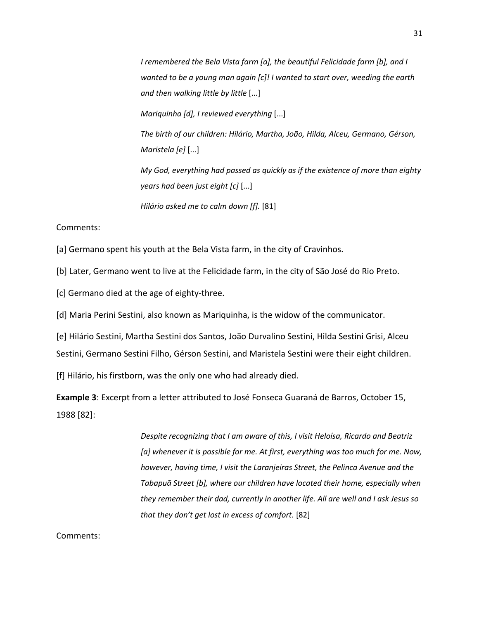*I remembered the Bela Vista farm [a], the beautiful Felicidade farm [b], and I wanted to be a young man again [c]! I wanted to start over, weeding the earth and then walking little by little* [...] *Mariquinha [d], I reviewed everything* [...] *The birth of our children: Hilário, Martha, João, Hilda, Alceu, Germano, Gérson, Maristela [e]* [...] *My God, everything had passed as quickly as if the existence of more than eighty years had been just eight [c]* [...] *Hilário asked me to calm down [f].* [81]

Comments:

[a] Germano spent his youth at the Bela Vista farm, in the city of Cravinhos.

[b] Later, Germano went to live at the Felicidade farm, in the city of São José do Rio Preto.

[c] Germano died at the age of eighty-three.

[d] Maria Perini Sestini, also known as Mariquinha, is the widow of the communicator.

[e] Hilário Sestini, Martha Sestini dos Santos, João Durvalino Sestini, Hilda Sestini Grisi, Alceu Sestini, Germano Sestini Filho, Gérson Sestini, and Maristela Sestini were their eight children.

[f] Hilário, his firstborn, was the only one who had already died.

**Example 3**: Excerpt from a letter attributed to José Fonseca Guaraná de Barros, October 15, 1988 [82]:

> *Despite recognizing that I am aware of this, I visit Heloísa, Ricardo and Beatriz [a] whenever it is possible for me. At first, everything was too much for me. Now, however, having time, I visit the Laranjeiras Street, the Pelinca Avenue and the Tabapuã Street [b], where our children have located their home, especially when they remember their dad, currently in another life. All are well and I ask Jesus so that they don't get lost in excess of comfort.* [82]

Comments: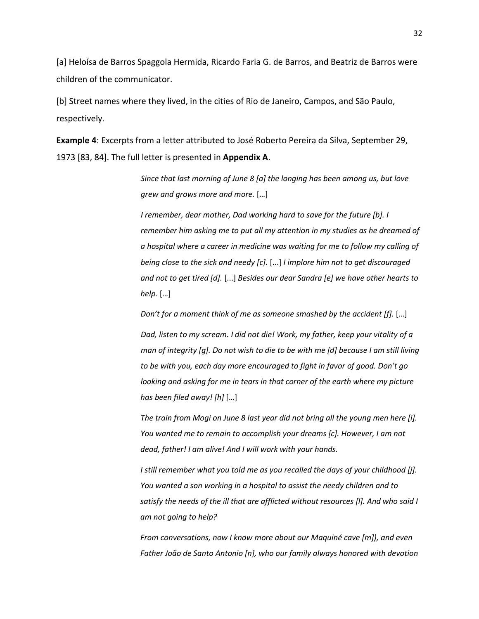[a] Heloísa de Barros Spaggola Hermida, Ricardo Faria G. de Barros, and Beatriz de Barros were children of the communicator.

[b] Street names where they lived, in the cities of Rio de Janeiro, Campos, and São Paulo, respectively.

**Example 4**: Excerpts from a letter attributed to José Roberto Pereira da Silva, September 29, 1973 [83, 84]. The full letter is presented in **Appendix A**.

> *Since that last morning of June 8 [a] the longing has been among us, but love grew and grows more and more.* […]

*I remember, dear mother, Dad working hard to save for the future [b]. I remember him asking me to put all my attention in my studies as he dreamed of a hospital where a career in medicine was waiting for me to follow my calling of being close to the sick and needy [c].* [...] *I implore him not to get discouraged and not to get tired [d].* [...] *Besides our dear Sandra [e] we have other hearts to help.* […]

*Don't for a moment think of me as someone smashed by the accident [f].* […]

*Dad, listen to my scream. I did not die! Work, my father, keep your vitality of a man of integrity [g]. Do not wish to die to be with me [d] because I am still living to be with you, each day more encouraged to fight in favor of good. Don't go looking and asking for me in tears in that corner of the earth where my picture has been filed away! [h]* […]

*The train from Mogi on June 8 last year did not bring all the young men here [i]. You wanted me to remain to accomplish your dreams [c]. However, I am not dead, father! I am alive! And I will work with your hands.*

*I still remember what you told me as you recalled the days of your childhood [j]. You wanted a son working in a hospital to assist the needy children and to satisfy the needs of the ill that are afflicted without resources [l]. And who said I am not going to help?*

*From conversations, now I know more about our Maquiné cave [m]), and even Father João de Santo Antonio [n], who our family always honored with devotion*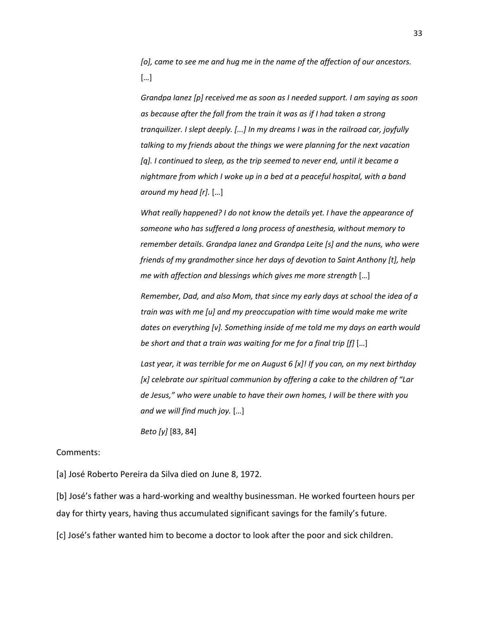*[o], came to see me and hug me in the name of the affection of our ancestors.* […]

*Grandpa Ianez [p] received me as soon as I needed support. I am saying as soon as because after the fall from the train it was as if I had taken a strong tranquilizer. I slept deeply. [...] In my dreams I was in the railroad car, joyfully talking to my friends about the things we were planning for the next vacation [q]. I continued to sleep, as the trip seemed to never end, until it became a nightmare from which I woke up in a bed at a peaceful hospital, with a band around my head [r].* […]

*What really happened? I do not know the details yet. I have the appearance of someone who has suffered a long process of anesthesia, without memory to remember details. Grandpa Ianez and Grandpa Leite [s] and the nuns, who were friends of my grandmother since her days of devotion to Saint Anthony [t], help me with affection and blessings which gives me more strength* […]

*Remember, Dad, and also Mom, that since my early days at school the idea of a train was with me [u] and my preoccupation with time would make me write dates on everything [v]. Something inside of me told me my days on earth would be short and that a train was waiting for me for a final trip [f]* […]

*Last year, it was terrible for me on August 6 [x]! If you can, on my next birthday [x] celebrate our spiritual communion by offering a cake to the children of "Lar de Jesus," who were unable to have their own homes, I will be there with you and we will find much joy.* […]

*Beto [y]* [83, 84]

## Comments:

[a] José Roberto Pereira da Silva died on June 8, 1972.

[b] José's father was a hard-working and wealthy businessman. He worked fourteen hours per day for thirty years, having thus accumulated significant savings for the family's future.

[c] José's father wanted him to become a doctor to look after the poor and sick children.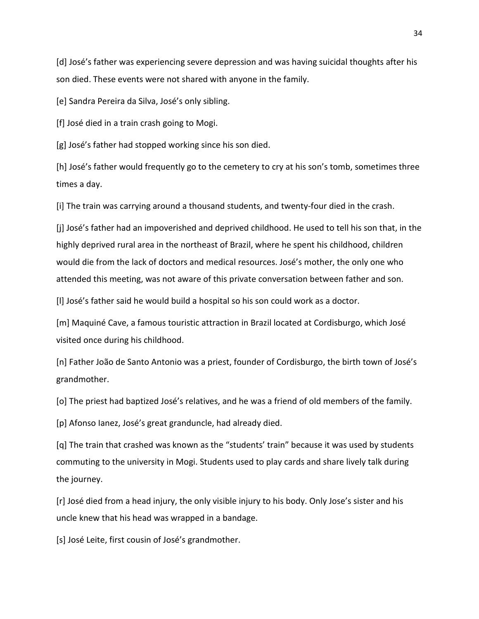[d] José's father was experiencing severe depression and was having suicidal thoughts after his son died. These events were not shared with anyone in the family.

[e] Sandra Pereira da Silva, José's only sibling.

[f] José died in a train crash going to Mogi.

[g] José's father had stopped working since his son died.

[h] José's father would frequently go to the cemetery to cry at his son's tomb, sometimes three times a day.

[i] The train was carrying around a thousand students, and twenty-four died in the crash.

[j] José's father had an impoverished and deprived childhood. He used to tell his son that, in the highly deprived rural area in the northeast of Brazil, where he spent his childhood, children would die from the lack of doctors and medical resources. José's mother, the only one who attended this meeting, was not aware of this private conversation between father and son.

[l] José's father said he would build a hospital so his son could work as a doctor.

[m] Maquiné Cave, a famous touristic attraction in Brazil located at Cordisburgo, which José visited once during his childhood.

[n] Father João de Santo Antonio was a priest, founder of Cordisburgo, the birth town of José's grandmother.

[o] The priest had baptized José's relatives, and he was a friend of old members of the family.

[p] Afonso Ianez, José's great granduncle, had already died.

[q] The train that crashed was known as the "students' train" because it was used by students commuting to the university in Mogi. Students used to play cards and share lively talk during the journey.

[r] José died from a head injury, the only visible injury to his body. Only Jose's sister and his uncle knew that his head was wrapped in a bandage.

[s] José Leite, first cousin of José's grandmother.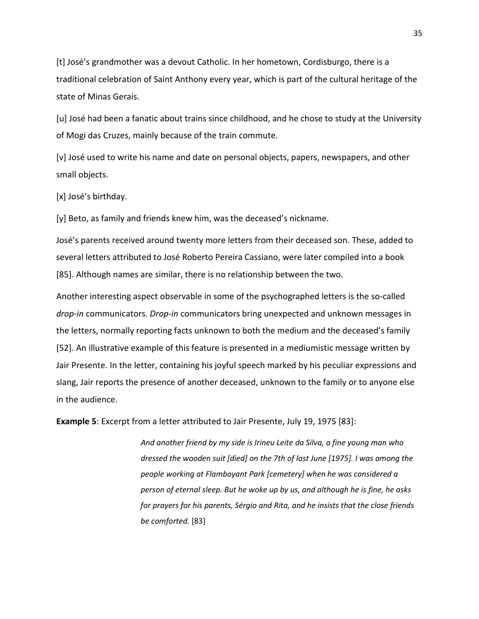[t] José's grandmother was a devout Catholic. In her hometown, Cordisburgo, there is a traditional celebration of Saint Anthony every year, which is part of the cultural heritage of the state of Minas Gerais.

[u] José had been a fanatic about trains since childhood, and he chose to study at the University of Mogi das Cruzes, mainly because of the train commute.

[v] José used to write his name and date on personal objects, papers, newspapers, and other small objects.

[x] José's birthday.

[y] Beto, as family and friends knew him, was the deceased's nickname.

José's parents received around twenty more letters from their deceased son. These, added to several letters attributed to José Roberto Pereira Cassiano, were later compiled into a book [85]. Although names are similar, there is no relationship between the two.

Another interesting aspect observable in some of the psychographed letters is the so-called *drop-in* communicators. *Drop-in* communicators bring unexpected and unknown messages in the letters, normally reporting facts unknown to both the medium and the deceased's family [52]. An illustrative example of this feature is presented in a mediumistic message written by Jair Presente. In the letter, containing his joyful speech marked by his peculiar expressions and slang, Jair reports the presence of another deceased, unknown to the family or to anyone else in the audience.

**Example 5**: Excerpt from a letter attributed to Jair Presente, July 19, 1975 [83]:

*And another friend by my side is Irineu Leite da Silva, a fine young man who dressed the wooden suit [died] on the 7th of last June [1975]. I was among the people working at Flamboyant Park [cemetery] when he was considered a person of eternal sleep. But he woke up by us, and although he is fine, he asks for prayers for his parents, Sérgio and Rita, and he insists that the close friends be comforted.* [83]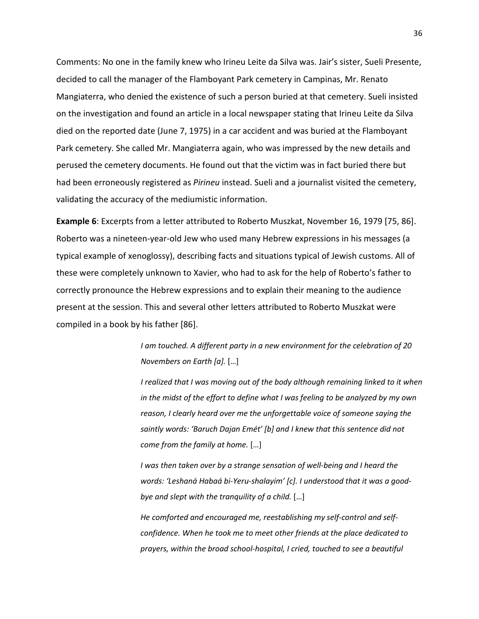Comments: No one in the family knew who Irineu Leite da Silva was. Jair's sister, Sueli Presente, decided to call the manager of the Flamboyant Park cemetery in Campinas, Mr. Renato Mangiaterra, who denied the existence of such a person buried at that cemetery. Sueli insisted on the investigation and found an article in a local newspaper stating that Irineu Leite da Silva died on the reported date (June 7, 1975) in a car accident and was buried at the Flamboyant Park cemetery. She called Mr. Mangiaterra again, who was impressed by the new details and perused the cemetery documents. He found out that the victim was in fact buried there but had been erroneously registered as *Pirineu* instead. Sueli and a journalist visited the cemetery, validating the accuracy of the mediumistic information.

**Example 6**: Excerpts from a letter attributed to Roberto Muszkat, November 16, 1979 [75, 86]. Roberto was a nineteen-year-old Jew who used many Hebrew expressions in his messages (a typical example of xenoglossy), describing facts and situations typical of Jewish customs. All of these were completely unknown to Xavier, who had to ask for the help of Roberto's father to correctly pronounce the Hebrew expressions and to explain their meaning to the audience present at the session. This and several other letters attributed to Roberto Muszkat were compiled in a book by his father [86].

> *I am touched. A different party in a new environment for the celebration of 20 Novembers on Earth [a].* […]

*I realized that I was moving out of the body although remaining linked to it when in the midst of the effort to define what I was feeling to be analyzed by my own reason, I clearly heard over me the unforgettable voice of someone saying the saintly words: 'Baruch Dajan Emét' [b] and I knew that this sentence did not come from the family at home.* […]

*I was then taken over by a strange sensation of well-being and I heard the words: 'Leshaná Habaá bi-Yeru-shalayim' [c]. I understood that it was a goodbye and slept with the tranquility of a child.* […]

*He comforted and encouraged me, reestablishing my self-control and selfconfidence. When he took me to meet other friends at the place dedicated to prayers, within the broad school-hospital, I cried, touched to see a beautiful*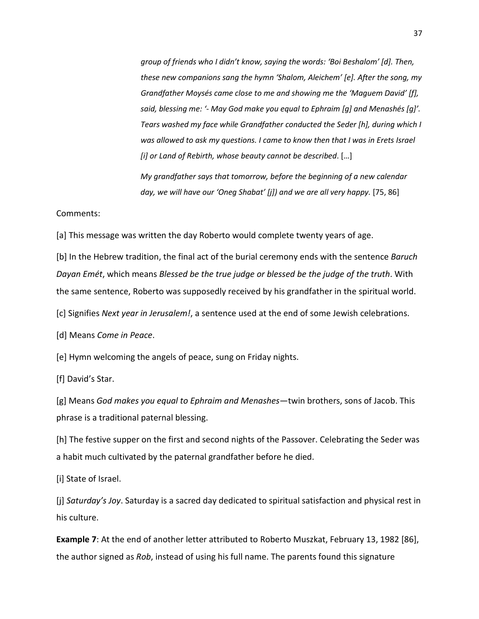*group of friends who I didn't know, saying the words: 'Boi Beshalom' [d]. Then, these new companions sang the hymn 'Shalom, Aleichem' [e]. After the song, my Grandfather Moysés came close to me and showing me the 'Maguem David' [f], said, blessing me: '- May God make you equal to Ephraim [g] and Menashés [g]'. Tears washed my face while Grandfather conducted the Seder [h], during which I was allowed to ask my questions. I came to know then that I was in Erets Israel [i] or Land of Rebirth, whose beauty cannot be described*. […] *My grandfather says that tomorrow, before the beginning of a new calendar*

*day, we will have our 'Oneg Shabat' [j]) and we are all very happy.* [75, 86]

## Comments:

[a] This message was written the day Roberto would complete twenty years of age.

[b] In the Hebrew tradition, the final act of the burial ceremony ends with the sentence *Baruch Dayan Emét*, which means *Blessed be the true judge or blessed be the judge of the truth*. With the same sentence, Roberto was supposedly received by his grandfather in the spiritual world.

[c] Signifies *Next year in Jerusalem!*, a sentence used at the end of some Jewish celebrations.

[d] Means *Come in Peace*.

[e] Hymn welcoming the angels of peace, sung on Friday nights.

[f] David's Star.

[g] Means *God makes you equal to Ephraim and Menashes*—twin brothers, sons of Jacob. This phrase is a traditional paternal blessing.

[h] The festive supper on the first and second nights of the Passover. Celebrating the Seder was a habit much cultivated by the paternal grandfather before he died.

[i] State of Israel.

[j] *Saturday's Joy*. Saturday is a sacred day dedicated to spiritual satisfaction and physical rest in his culture.

**Example 7**: At the end of another letter attributed to Roberto Muszkat, February 13, 1982 [86], the author signed as *Rob*, instead of using his full name. The parents found this signature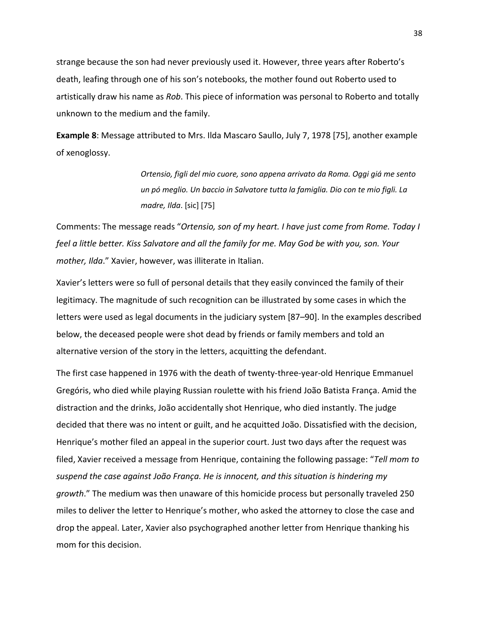strange because the son had never previously used it. However, three years after Roberto's death, leafing through one of his son's notebooks, the mother found out Roberto used to artistically draw his name as *Rob*. This piece of information was personal to Roberto and totally unknown to the medium and the family.

**Example 8**: Message attributed to Mrs. Ilda Mascaro Saullo, July 7, 1978 [75], another example of xenoglossy.

> *Ortensio, figli del mio cuore, sono appena arrivato da Roma. Oggi giá me sento un pó meglio. Un baccio in Salvatore tutta la famiglia. Dio con te mio figli. La madre, Ilda*. [sic] [75]

Comments: The message reads "*Ortensio, son of my heart. I have just come from Rome. Today I* feel a little better. Kiss Salvatore and all the family for me. May God be with you, son. Your *mother, Ilda*." Xavier, however, was illiterate in Italian.

Xavier's letters were so full of personal details that they easily convinced the family of their legitimacy. The magnitude of such recognition can be illustrated by some cases in which the letters were used as legal documents in the judiciary system [87–90]. In the examples described below, the deceased people were shot dead by friends or family members and told an alternative version of the story in the letters, acquitting the defendant.

The first case happened in 1976 with the death of twenty-three-year-old Henrique Emmanuel Gregóris, who died while playing Russian roulette with his friend João Batista França. Amid the distraction and the drinks, João accidentally shot Henrique, who died instantly. The judge decided that there was no intent or guilt, and he acquitted João. Dissatisfied with the decision, Henrique's mother filed an appeal in the superior court. Just two days after the request was filed, Xavier received a message from Henrique, containing the following passage: "*Tell mom to suspend the case against João França. He is innocent, and this situation is hindering my growth*." The medium was then unaware of this homicide process but personally traveled 250 miles to deliver the letter to Henrique's mother, who asked the attorney to close the case and drop the appeal. Later, Xavier also psychographed another letter from Henrique thanking his mom for this decision.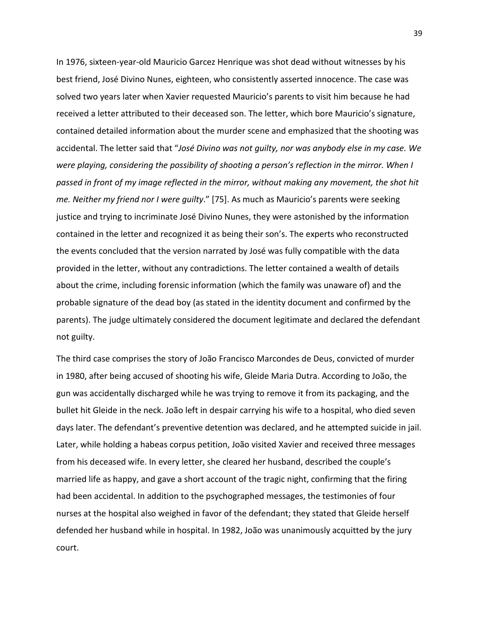In 1976, sixteen-year-old Mauricio Garcez Henrique was shot dead without witnesses by his best friend, José Divino Nunes, eighteen, who consistently asserted innocence. The case was solved two years later when Xavier requested Mauricio's parents to visit him because he had received a letter attributed to their deceased son. The letter, which bore Mauricio's signature, contained detailed information about the murder scene and emphasized that the shooting was accidental. The letter said that "*José Divino was not guilty, nor was anybody else in my case. We were playing, considering the possibility of shooting a person's reflection in the mirror. When I passed in front of my image reflected in the mirror, without making any movement, the shot hit me. Neither my friend nor I were guilty*." [75]. As much as Mauricio's parents were seeking justice and trying to incriminate José Divino Nunes, they were astonished by the information contained in the letter and recognized it as being their son's. The experts who reconstructed the events concluded that the version narrated by José was fully compatible with the data provided in the letter, without any contradictions. The letter contained a wealth of details about the crime, including forensic information (which the family was unaware of) and the probable signature of the dead boy (as stated in the identity document and confirmed by the parents). The judge ultimately considered the document legitimate and declared the defendant not guilty.

The third case comprises the story of João Francisco Marcondes de Deus, convicted of murder in 1980, after being accused of shooting his wife, Gleide Maria Dutra. According to João, the gun was accidentally discharged while he was trying to remove it from its packaging, and the bullet hit Gleide in the neck. João left in despair carrying his wife to a hospital, who died seven days later. The defendant's preventive detention was declared, and he attempted suicide in jail. Later, while holding a habeas corpus petition, João visited Xavier and received three messages from his deceased wife. In every letter, she cleared her husband, described the couple's married life as happy, and gave a short account of the tragic night, confirming that the firing had been accidental. In addition to the psychographed messages, the testimonies of four nurses at the hospital also weighed in favor of the defendant; they stated that Gleide herself defended her husband while in hospital. In 1982, João was unanimously acquitted by the jury court.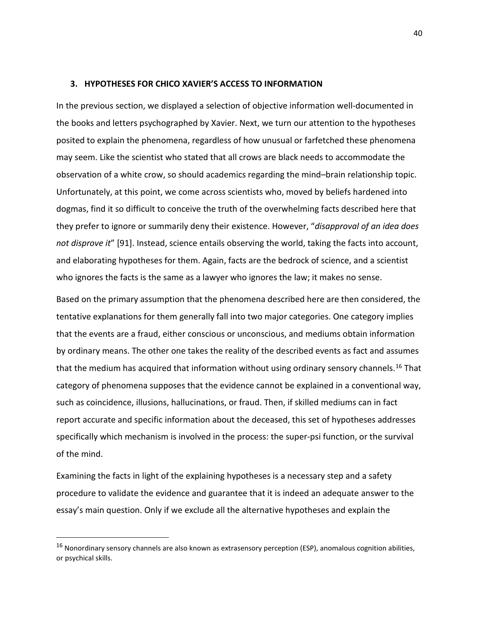## **3. HYPOTHESES FOR CHICO XAVIER'S ACCESS TO INFORMATION**

In the previous section, we displayed a selection of objective information well-documented in the books and letters psychographed by Xavier. Next, we turn our attention to the hypotheses posited to explain the phenomena, regardless of how unusual or farfetched these phenomena may seem. Like the scientist who stated that all crows are black needs to accommodate the observation of a white crow, so should academics regarding the mind–brain relationship topic. Unfortunately, at this point, we come across scientists who, moved by beliefs hardened into dogmas, find it so difficult to conceive the truth of the overwhelming facts described here that they prefer to ignore or summarily deny their existence. However, "*disapproval of an idea does not disprove it*" [91]. Instead, science entails observing the world, taking the facts into account, and elaborating hypotheses for them. Again, facts are the bedrock of science, and a scientist who ignores the facts is the same as a lawyer who ignores the law; it makes no sense.

Based on the primary assumption that the phenomena described here are then considered, the tentative explanations for them generally fall into two major categories. One category implies that the events are a fraud, either conscious or unconscious, and mediums obtain information by ordinary means. The other one takes the reality of the described events as fact and assumes that the medium has acquired that information without using ordinary sensory channels.<sup>[16](#page-39-0)</sup> That category of phenomena supposes that the evidence cannot be explained in a conventional way, such as coincidence, illusions, hallucinations, or fraud. Then, if skilled mediums can in fact report accurate and specific information about the deceased, this set of hypotheses addresses specifically which mechanism is involved in the process: the super-psi function, or the survival of the mind.

Examining the facts in light of the explaining hypotheses is a necessary step and a safety procedure to validate the evidence and guarantee that it is indeed an adequate answer to the essay's main question. Only if we exclude all the alternative hypotheses and explain the

<span id="page-39-0"></span><sup>&</sup>lt;sup>16</sup> Nonordinary sensory channels are also known as extrasensory perception (ESP), anomalous cognition abilities, or psychical skills.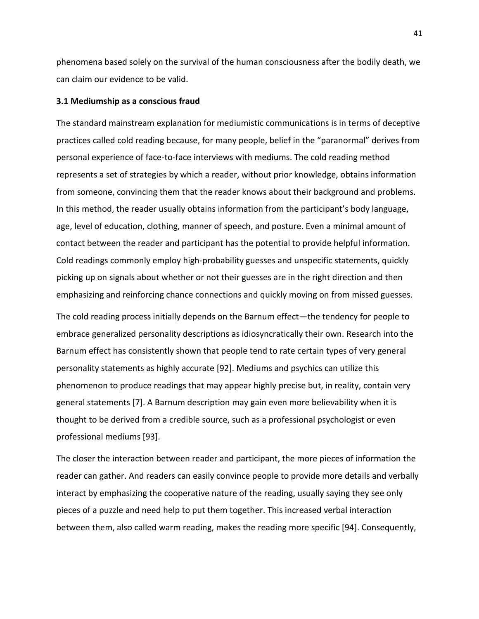phenomena based solely on the survival of the human consciousness after the bodily death, we can claim our evidence to be valid.

## **3.1 Mediumship as a conscious fraud**

The standard mainstream explanation for mediumistic communications is in terms of deceptive practices called cold reading because, for many people, belief in the "paranormal" derives from personal experience of face-to-face interviews with mediums. The cold reading method represents a set of strategies by which a reader, without prior knowledge, obtains information from someone, convincing them that the reader knows about their background and problems. In this method, the reader usually obtains information from the participant's body language, age, level of education, clothing, manner of speech, and posture. Even a minimal amount of contact between the reader and participant has the potential to provide helpful information. Cold readings commonly employ high-probability guesses and unspecific statements, quickly picking up on signals about whether or not their guesses are in the right direction and then emphasizing and reinforcing chance connections and quickly moving on from missed guesses. The cold reading process initially depends on the Barnum effect—the tendency for people to embrace generalized personality descriptions as idiosyncratically their own. Research into the Barnum effect has consistently shown that people tend to rate certain types of very general personality statements as highly accurate [92]. Mediums and psychics can utilize this phenomenon to produce readings that may appear highly precise but, in reality, contain very general statements [7]. A Barnum description may gain even more believability when it is thought to be derived from a credible source, such as a professional psychologist or even

professional mediums [93].

The closer the interaction between reader and participant, the more pieces of information the reader can gather. And readers can easily convince people to provide more details and verbally interact by emphasizing the cooperative nature of the reading, usually saying they see only pieces of a puzzle and need help to put them together. This increased verbal interaction between them, also called warm reading, makes the reading more specific [94]. Consequently,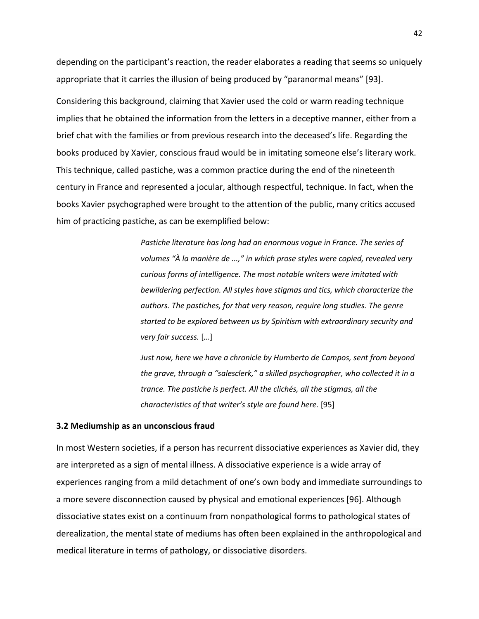depending on the participant's reaction, the reader elaborates a reading that seems so uniquely appropriate that it carries the illusion of being produced by "paranormal means" [93].

Considering this background, claiming that Xavier used the cold or warm reading technique implies that he obtained the information from the letters in a deceptive manner, either from a brief chat with the families or from previous research into the deceased's life. Regarding the books produced by Xavier, conscious fraud would be in imitating someone else's literary work. This technique, called pastiche, was a common practice during the end of the nineteenth century in France and represented a jocular, although respectful, technique. In fact, when the books Xavier psychographed were brought to the attention of the public, many critics accused him of practicing pastiche, as can be exemplified below:

> *Pastiche literature has long had an enormous vogue in France. The series of volumes "À la manière de ...," in which prose styles were copied, revealed very curious forms of intelligence. The most notable writers were imitated with bewildering perfection. All styles have stigmas and tics, which characterize the authors. The pastiches, for that very reason, require long studies. The genre started to be explored between us by Spiritism with extraordinary security and very fair success.* [*…*]

> *Just now, here we have a chronicle by Humberto de Campos, sent from beyond the grave, through a "salesclerk," a skilled psychographer, who collected it in a trance. The pastiche is perfect. All the clichés, all the stigmas, all the characteristics of that writer's style are found here.* [95]

## **3.2 Mediumship as an unconscious fraud**

In most Western societies, if a person has recurrent dissociative experiences as Xavier did, they are interpreted as a sign of mental illness. A dissociative experience is a wide array of experiences ranging from a mild detachment of one's own body and immediate surroundings to a more severe disconnection caused by physical and emotional experiences [96]. Although dissociative states exist on a continuum from nonpathological forms to pathological states of derealization, the mental state of mediums has often been explained in the anthropological and medical literature in terms of pathology, or dissociative disorders.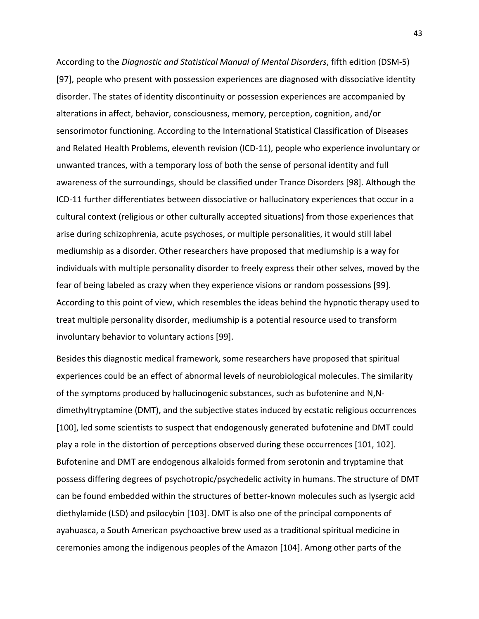According to the *Diagnostic and Statistical Manual of Mental Disorders*, fifth edition (DSM-5) [97], people who present with possession experiences are diagnosed with dissociative identity disorder. The states of identity discontinuity or possession experiences are accompanied by alterations in affect, behavior, consciousness, memory, perception, cognition, and/or sensorimotor functioning. According to the International Statistical Classification of Diseases and Related Health Problems, eleventh revision (ICD-11), people who experience involuntary or unwanted trances, with a temporary loss of both the sense of personal identity and full awareness of the surroundings, should be classified under Trance Disorders [98]. Although the ICD-11 further differentiates between dissociative or hallucinatory experiences that occur in a cultural context (religious or other culturally accepted situations) from those experiences that arise during schizophrenia, acute psychoses, or multiple personalities, it would still label mediumship as a disorder. Other researchers have proposed that mediumship is a way for individuals with multiple personality disorder to freely express their other selves, moved by the fear of being labeled as crazy when they experience visions or random possessions [99]. According to this point of view, which resembles the ideas behind the hypnotic therapy used to treat multiple personality disorder, mediumship is a potential resource used to transform involuntary behavior to voluntary actions [99].

Besides this diagnostic medical framework, some researchers have proposed that spiritual experiences could be an effect of abnormal levels of neurobiological molecules. The similarity of the symptoms produced by hallucinogenic substances, such as bufotenine and N,Ndimethyltryptamine (DMT), and the subjective states induced by ecstatic religious occurrences [100], led some scientists to suspect that endogenously generated bufotenine and DMT could play a role in the distortion of perceptions observed during these occurrences [101, 102]. Bufotenine and DMT are endogenous alkaloids formed from serotonin and tryptamine that possess differing degrees of psychotropic/psychedelic activity in humans. The structure of DMT can be found embedded within the structures of better-known molecules such as lysergic acid diethylamide (LSD) and psilocybin [103]. DMT is also one of the principal components of ayahuasca, a South American psychoactive brew used as a traditional spiritual medicine in ceremonies among the indigenous peoples of the Amazon [104]. Among other parts of the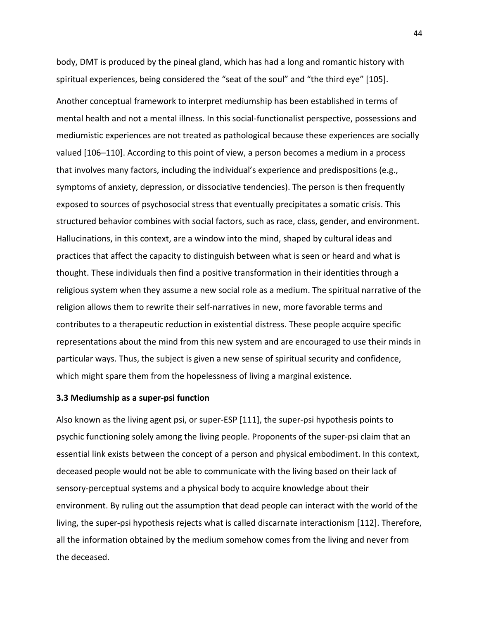body, DMT is produced by the pineal gland, which has had a long and romantic history with spiritual experiences, being considered the "seat of the soul" and "the third eye" [105].

Another conceptual framework to interpret mediumship has been established in terms of mental health and not a mental illness. In this social-functionalist perspective, possessions and mediumistic experiences are not treated as pathological because these experiences are socially valued [106–110]. According to this point of view, a person becomes a medium in a process that involves many factors, including the individual's experience and predispositions (e.g., symptoms of anxiety, depression, or dissociative tendencies). The person is then frequently exposed to sources of psychosocial stress that eventually precipitates a somatic crisis. This structured behavior combines with social factors, such as race, class, gender, and environment. Hallucinations, in this context, are a window into the mind, shaped by cultural ideas and practices that affect the capacity to distinguish between what is seen or heard and what is thought. These individuals then find a positive transformation in their identities through a religious system when they assume a new social role as a medium. The spiritual narrative of the religion allows them to rewrite their self-narratives in new, more favorable terms and contributes to a therapeutic reduction in existential distress. These people acquire specific representations about the mind from this new system and are encouraged to use their minds in particular ways. Thus, the subject is given a new sense of spiritual security and confidence, which might spare them from the hopelessness of living a marginal existence.

## **3.3 Mediumship as a super-psi function**

Also known as the living agent psi, or super-ESP [111], the super-psi hypothesis points to psychic functioning solely among the living people. Proponents of the super-psi claim that an essential link exists between the concept of a person and physical embodiment. In this context, deceased people would not be able to communicate with the living based on their lack of sensory-perceptual systems and a physical body to acquire knowledge about their environment. By ruling out the assumption that dead people can interact with the world of the living, the super-psi hypothesis rejects what is called discarnate interactionism [112]. Therefore, all the information obtained by the medium somehow comes from the living and never from the deceased.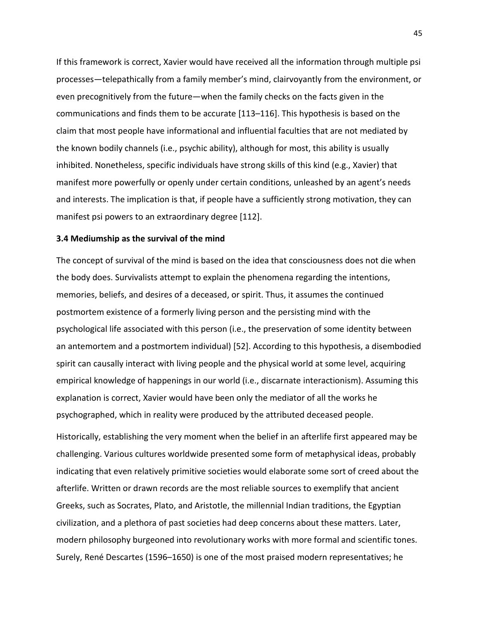If this framework is correct, Xavier would have received all the information through multiple psi processes—telepathically from a family member's mind, clairvoyantly from the environment, or even precognitively from the future—when the family checks on the facts given in the communications and finds them to be accurate [113–116]. This hypothesis is based on the claim that most people have informational and influential faculties that are not mediated by the known bodily channels (i.e., psychic ability), although for most, this ability is usually inhibited. Nonetheless, specific individuals have strong skills of this kind (e.g., Xavier) that manifest more powerfully or openly under certain conditions, unleashed by an agent's needs and interests. The implication is that, if people have a sufficiently strong motivation, they can manifest psi powers to an extraordinary degree [112].

## **3.4 Mediumship as the survival of the mind**

The concept of survival of the mind is based on the idea that consciousness does not die when the body does. Survivalists attempt to explain the phenomena regarding the intentions, memories, beliefs, and desires of a deceased, or spirit. Thus, it assumes the continued postmortem existence of a formerly living person and the persisting mind with the psychological life associated with this person (i.e., the preservation of some identity between an antemortem and a postmortem individual) [52]. According to this hypothesis, a disembodied spirit can causally interact with living people and the physical world at some level, acquiring empirical knowledge of happenings in our world (i.e., discarnate interactionism). Assuming this explanation is correct, Xavier would have been only the mediator of all the works he psychographed, which in reality were produced by the attributed deceased people.

Historically, establishing the very moment when the belief in an afterlife first appeared may be challenging. Various cultures worldwide presented some form of metaphysical ideas, probably indicating that even relatively primitive societies would elaborate some sort of creed about the afterlife. Written or drawn records are the most reliable sources to exemplify that ancient Greeks, such as Socrates, Plato, and Aristotle, the millennial Indian traditions, the Egyptian civilization, and a plethora of past societies had deep concerns about these matters. Later, modern philosophy burgeoned into revolutionary works with more formal and scientific tones. Surely, René Descartes (1596–1650) is one of the most praised modern representatives; he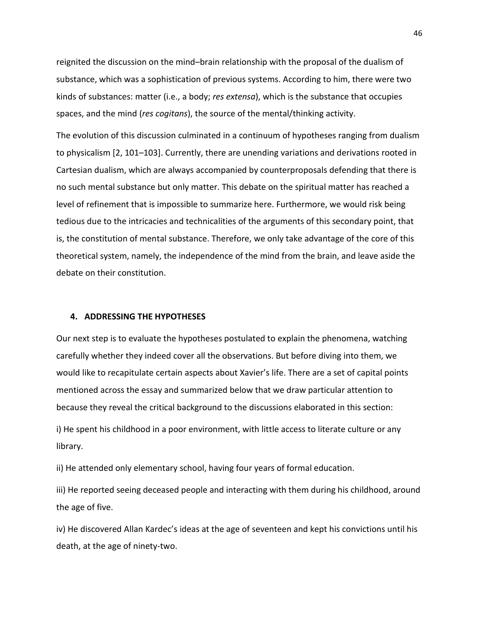reignited the discussion on the mind–brain relationship with the proposal of the dualism of substance, which was a sophistication of previous systems. According to him, there were two kinds of substances: matter (i.e., a body; *res extensa*), which is the substance that occupies spaces, and the mind (*res cogitans*), the source of the mental/thinking activity.

The evolution of this discussion culminated in a continuum of hypotheses ranging from dualism to physicalism [2, 101–103]. Currently, there are unending variations and derivations rooted in Cartesian dualism, which are always accompanied by counterproposals defending that there is no such mental substance but only matter. This debate on the spiritual matter has reached a level of refinement that is impossible to summarize here. Furthermore, we would risk being tedious due to the intricacies and technicalities of the arguments of this secondary point, that is, the constitution of mental substance. Therefore, we only take advantage of the core of this theoretical system, namely, the independence of the mind from the brain, and leave aside the debate on their constitution.

#### **4. ADDRESSING THE HYPOTHESES**

Our next step is to evaluate the hypotheses postulated to explain the phenomena, watching carefully whether they indeed cover all the observations. But before diving into them, we would like to recapitulate certain aspects about Xavier's life. There are a set of capital points mentioned across the essay and summarized below that we draw particular attention to because they reveal the critical background to the discussions elaborated in this section:

i) He spent his childhood in a poor environment, with little access to literate culture or any library.

ii) He attended only elementary school, having four years of formal education.

iii) He reported seeing deceased people and interacting with them during his childhood, around the age of five.

iv) He discovered Allan Kardec's ideas at the age of seventeen and kept his convictions until his death, at the age of ninety-two.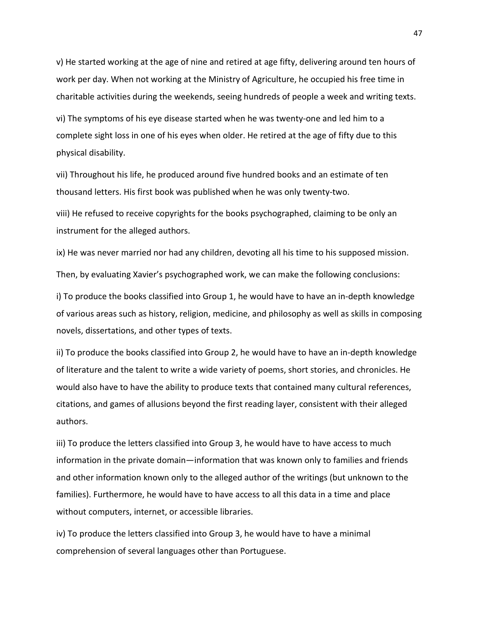v) He started working at the age of nine and retired at age fifty, delivering around ten hours of work per day. When not working at the Ministry of Agriculture, he occupied his free time in charitable activities during the weekends, seeing hundreds of people a week and writing texts.

vi) The symptoms of his eye disease started when he was twenty-one and led him to a complete sight loss in one of his eyes when older. He retired at the age of fifty due to this physical disability.

vii) Throughout his life, he produced around five hundred books and an estimate of ten thousand letters. His first book was published when he was only twenty-two.

viii) He refused to receive copyrights for the books psychographed, claiming to be only an instrument for the alleged authors.

ix) He was never married nor had any children, devoting all his time to his supposed mission. Then, by evaluating Xavier's psychographed work, we can make the following conclusions:

i) To produce the books classified into Group 1, he would have to have an in-depth knowledge of various areas such as history, religion, medicine, and philosophy as well as skills in composing novels, dissertations, and other types of texts.

ii) To produce the books classified into Group 2, he would have to have an in-depth knowledge of literature and the talent to write a wide variety of poems, short stories, and chronicles. He would also have to have the ability to produce texts that contained many cultural references, citations, and games of allusions beyond the first reading layer, consistent with their alleged authors.

iii) To produce the letters classified into Group 3, he would have to have access to much information in the private domain—information that was known only to families and friends and other information known only to the alleged author of the writings (but unknown to the families). Furthermore, he would have to have access to all this data in a time and place without computers, internet, or accessible libraries.

iv) To produce the letters classified into Group 3, he would have to have a minimal comprehension of several languages other than Portuguese.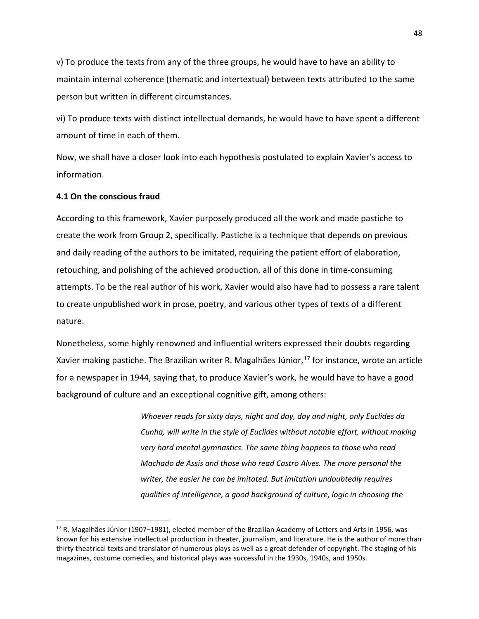v) To produce the texts from any of the three groups, he would have to have an ability to maintain internal coherence (thematic and intertextual) between texts attributed to the same person but written in different circumstances.

vi) To produce texts with distinct intellectual demands, he would have to have spent a different amount of time in each of them.

Now, we shall have a closer look into each hypothesis postulated to explain Xavier's access to information.

## **4.1 On the conscious fraud**

According to this framework, Xavier purposely produced all the work and made pastiche to create the work from Group 2, specifically. Pastiche is a technique that depends on previous and daily reading of the authors to be imitated, requiring the patient effort of elaboration, retouching, and polishing of the achieved production, all of this done in time-consuming attempts. To be the real author of his work, Xavier would also have had to possess a rare talent to create unpublished work in prose, poetry, and various other types of texts of a different nature.

Nonetheless, some highly renowned and influential writers expressed their doubts regarding Xavier making pastiche. The Brazilian writer R. Magalhães Júnior, [17](#page-47-0) for instance, wrote an article for a newspaper in 1944, saying that, to produce Xavier's work, he would have to have a good background of culture and an exceptional cognitive gift, among others:

> *Whoever reads for sixty days, night and day, day and night, only Euclides da Cunha, will write in the style of Euclides without notable effort, without making very hard mental gymnastics. The same thing happens to those who read Machado de Assis and those who read Castro Alves. The more personal the writer, the easier he can be imitated. But imitation undoubtedly requires qualities of intelligence, a good background of culture, logic in choosing the*

<span id="page-47-0"></span><sup>&</sup>lt;sup>17</sup> R. Magalhães Júnior (1907–1981), elected member of the Brazilian Academy of Letters and Arts in 1956, was known for his extensive intellectual production in theater, journalism, and literature. He is the author of more than thirty theatrical texts and translator of numerous plays as well as a great defender of copyright. The staging of his magazines, costume comedies, and historical plays was successful in the 1930s, 1940s, and 1950s.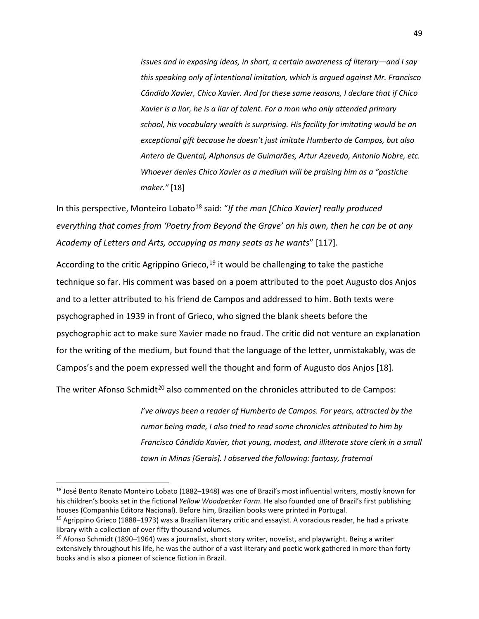*issues and in exposing ideas, in short, a certain awareness of literary—and I say this speaking only of intentional imitation, which is argued against Mr. Francisco Cândido Xavier, Chico Xavier. And for these same reasons, I declare that if Chico Xavier is a liar, he is a liar of talent. For a man who only attended primary school, his vocabulary wealth is surprising. His facility for imitating would be an exceptional gift because he doesn't just imitate Humberto de Campos, but also Antero de Quental, Alphonsus de Guimarães, Artur Azevedo, Antonio Nobre, etc. Whoever denies Chico Xavier as a medium will be praising him as a "pastiche maker."* [18]

In this perspective, Monteiro Lobato[18](#page-48-0) said: "*If the man [Chico Xavier] really produced everything that comes from 'Poetry from Beyond the Grave' on his own, then he can be at any Academy of Letters and Arts, occupying as many seats as he wants*" [117].

According to the critic Agrippino Grieco,<sup>[19](#page-48-1)</sup> it would be challenging to take the pastiche technique so far. His comment was based on a poem attributed to the poet Augusto dos Anjos and to a letter attributed to his friend de Campos and addressed to him. Both texts were psychographed in 1939 in front of Grieco, who signed the blank sheets before the psychographic act to make sure Xavier made no fraud. The critic did not venture an explanation for the writing of the medium, but found that the language of the letter, unmistakably, was de Campos's and the poem expressed well the thought and form of Augusto dos Anjos [18].

The writer Afonso Schmidt<sup>[20](#page-48-2)</sup> also commented on the chronicles attributed to de Campos:

*I've always been a reader of Humberto de Campos. For years, attracted by the rumor being made, I also tried to read some chronicles attributed to him by Francisco Cândido Xavier, that young, modest, and illiterate store clerk in a small town in Minas [Gerais]. I observed the following: fantasy, fraternal*

<span id="page-48-0"></span><sup>&</sup>lt;sup>18</sup> José Bento Renato Monteiro Lobato (1882–1948) was one of Brazil's most influential writers, mostly known for his children's books set in the fictional *Yellow Woodpecker Farm.* He also founded one of Brazil's first publishing houses (Companhia Editora Nacional). Before him, Brazilian books were printed in Portugal.

<span id="page-48-1"></span> $19$  Agrippino Grieco (1888–1973) was a Brazilian literary critic and essayist. A voracious reader, he had a private library with a collection of over fifty thousand volumes.

<span id="page-48-2"></span> $20$  Afonso Schmidt (1890–1964) was a journalist, short story writer, novelist, and playwright. Being a writer extensively throughout his life, he was the author of a vast literary and poetic work gathered in more than forty books and is also a pioneer of science fiction in Brazil.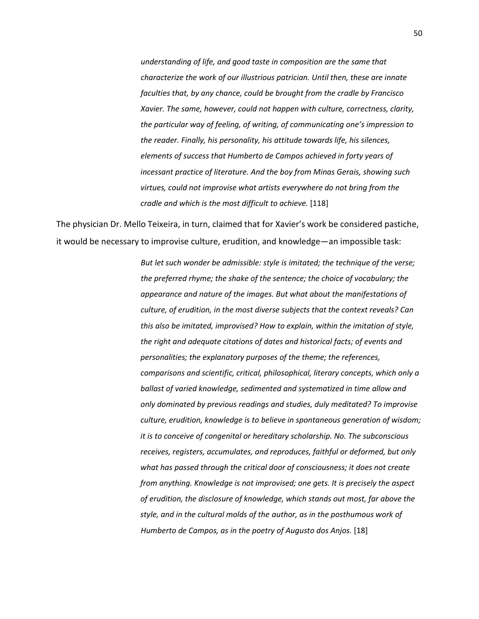*understanding of life, and good taste in composition are the same that characterize the work of our illustrious patrician. Until then, these are innate faculties that, by any chance, could be brought from the cradle by Francisco Xavier. The same, however, could not happen with culture, correctness, clarity, the particular way of feeling, of writing, of communicating one's impression to the reader. Finally, his personality, his attitude towards life, his silences, elements of success that Humberto de Campos achieved in forty years of incessant practice of literature. And the boy from Minas Gerais, showing such virtues, could not improvise what artists everywhere do not bring from the cradle and which is the most difficult to achieve.* [118]

The physician Dr. Mello Teixeira, in turn, claimed that for Xavier's work be considered pastiche, it would be necessary to improvise culture, erudition, and knowledge—an impossible task:

> *But let such wonder be admissible: style is imitated; the technique of the verse; the preferred rhyme; the shake of the sentence; the choice of vocabulary; the appearance and nature of the images. But what about the manifestations of culture, of erudition, in the most diverse subjects that the context reveals? Can this also be imitated, improvised? How to explain, within the imitation of style, the right and adequate citations of dates and historical facts; of events and personalities; the explanatory purposes of the theme; the references, comparisons and scientific, critical, philosophical, literary concepts, which only a ballast of varied knowledge, sedimented and systematized in time allow and only dominated by previous readings and studies, duly meditated? To improvise culture, erudition, knowledge is to believe in spontaneous generation of wisdom; it is to conceive of congenital or hereditary scholarship. No. The subconscious receives, registers, accumulates, and reproduces, faithful or deformed, but only what has passed through the critical door of consciousness; it does not create from anything. Knowledge is not improvised; one gets. It is precisely the aspect of erudition, the disclosure of knowledge, which stands out most, far above the style, and in the cultural molds of the author, as in the posthumous work of Humberto de Campos, as in the poetry of Augusto dos Anjos.* [18]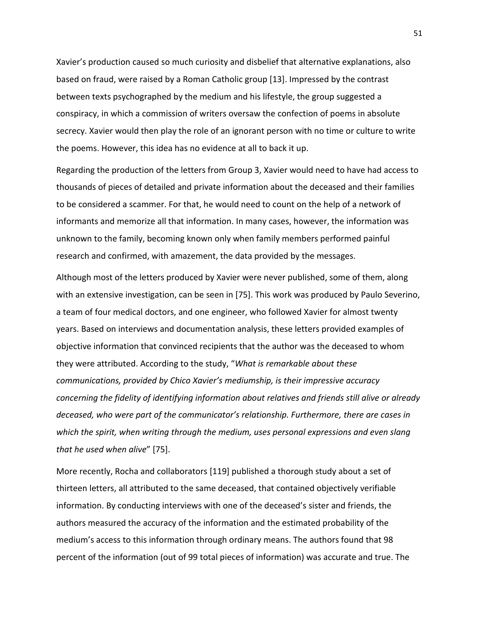Xavier's production caused so much curiosity and disbelief that alternative explanations, also based on fraud, were raised by a Roman Catholic group [13]. Impressed by the contrast between texts psychographed by the medium and his lifestyle, the group suggested a conspiracy, in which a commission of writers oversaw the confection of poems in absolute secrecy. Xavier would then play the role of an ignorant person with no time or culture to write the poems. However, this idea has no evidence at all to back it up.

Regarding the production of the letters from Group 3, Xavier would need to have had access to thousands of pieces of detailed and private information about the deceased and their families to be considered a scammer. For that, he would need to count on the help of a network of informants and memorize all that information. In many cases, however, the information was unknown to the family, becoming known only when family members performed painful research and confirmed, with amazement, the data provided by the messages.

Although most of the letters produced by Xavier were never published, some of them, along with an extensive investigation, can be seen in [75]. This work was produced by Paulo Severino, a team of four medical doctors, and one engineer, who followed Xavier for almost twenty years. Based on interviews and documentation analysis, these letters provided examples of objective information that convinced recipients that the author was the deceased to whom they were attributed. According to the study, "*What is remarkable about these communications, provided by Chico Xavier's mediumship, is their impressive accuracy concerning the fidelity of identifying information about relatives and friends still alive or already deceased, who were part of the communicator's relationship. Furthermore, there are cases in which the spirit, when writing through the medium, uses personal expressions and even slang that he used when alive*" [75].

More recently, Rocha and collaborators [119] published a thorough study about a set of thirteen letters, all attributed to the same deceased, that contained objectively verifiable information. By conducting interviews with one of the deceased's sister and friends, the authors measured the accuracy of the information and the estimated probability of the medium's access to this information through ordinary means. The authors found that 98 percent of the information (out of 99 total pieces of information) was accurate and true. The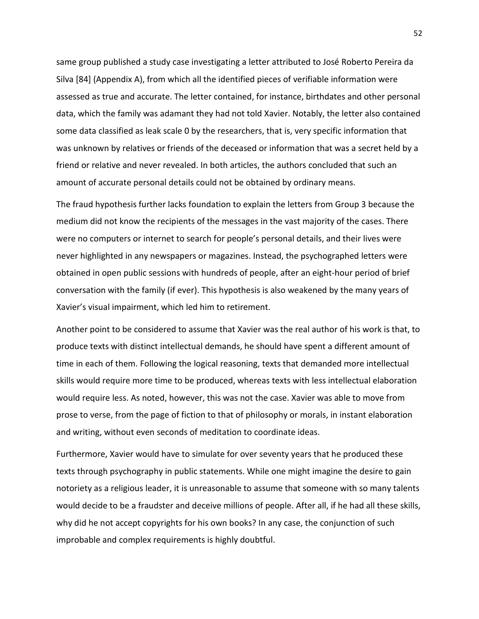same group published a study case investigating a letter attributed to José Roberto Pereira da Silva [84] (Appendix A), from which all the identified pieces of verifiable information were assessed as true and accurate. The letter contained, for instance, birthdates and other personal data, which the family was adamant they had not told Xavier. Notably, the letter also contained some data classified as leak scale 0 by the researchers, that is, very specific information that was unknown by relatives or friends of the deceased or information that was a secret held by a friend or relative and never revealed. In both articles, the authors concluded that such an amount of accurate personal details could not be obtained by ordinary means.

The fraud hypothesis further lacks foundation to explain the letters from Group 3 because the medium did not know the recipients of the messages in the vast majority of the cases. There were no computers or internet to search for people's personal details, and their lives were never highlighted in any newspapers or magazines. Instead, the psychographed letters were obtained in open public sessions with hundreds of people, after an eight-hour period of brief conversation with the family (if ever). This hypothesis is also weakened by the many years of Xavier's visual impairment, which led him to retirement.

Another point to be considered to assume that Xavier was the real author of his work is that, to produce texts with distinct intellectual demands, he should have spent a different amount of time in each of them. Following the logical reasoning, texts that demanded more intellectual skills would require more time to be produced, whereas texts with less intellectual elaboration would require less. As noted, however, this was not the case. Xavier was able to move from prose to verse, from the page of fiction to that of philosophy or morals, in instant elaboration and writing, without even seconds of meditation to coordinate ideas.

Furthermore, Xavier would have to simulate for over seventy years that he produced these texts through psychography in public statements. While one might imagine the desire to gain notoriety as a religious leader, it is unreasonable to assume that someone with so many talents would decide to be a fraudster and deceive millions of people. After all, if he had all these skills, why did he not accept copyrights for his own books? In any case, the conjunction of such improbable and complex requirements is highly doubtful.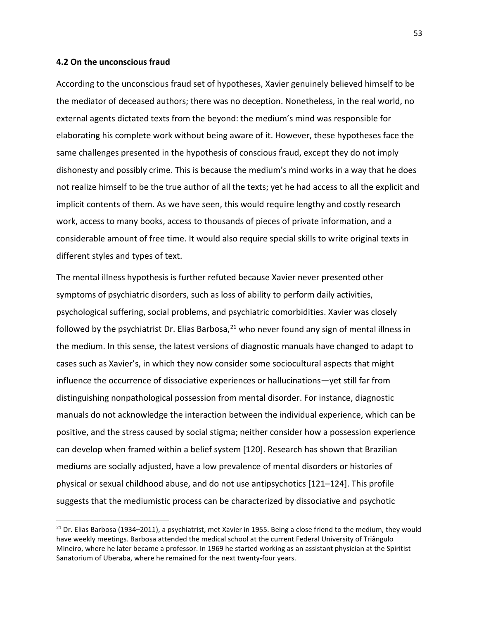## **4.2 On the unconscious fraud**

According to the unconscious fraud set of hypotheses, Xavier genuinely believed himself to be the mediator of deceased authors; there was no deception. Nonetheless, in the real world, no external agents dictated texts from the beyond: the medium's mind was responsible for elaborating his complete work without being aware of it. However, these hypotheses face the same challenges presented in the hypothesis of conscious fraud, except they do not imply dishonesty and possibly crime. This is because the medium's mind works in a way that he does not realize himself to be the true author of all the texts; yet he had access to all the explicit and implicit contents of them. As we have seen, this would require lengthy and costly research work, access to many books, access to thousands of pieces of private information, and a considerable amount of free time. It would also require special skills to write original texts in different styles and types of text.

The mental illness hypothesis is further refuted because Xavier never presented other symptoms of psychiatric disorders, such as loss of ability to perform daily activities, psychological suffering, social problems, and psychiatric comorbidities. Xavier was closely followed by the psychiatrist Dr. Elias Barbosa,<sup>[21](#page-52-0)</sup> who never found any sign of mental illness in the medium. In this sense, the latest versions of diagnostic manuals have changed to adapt to cases such as Xavier's, in which they now consider some sociocultural aspects that might influence the occurrence of dissociative experiences or hallucinations—yet still far from distinguishing nonpathological possession from mental disorder. For instance, diagnostic manuals do not acknowledge the interaction between the individual experience, which can be positive, and the stress caused by social stigma; neither consider how a possession experience can develop when framed within a belief system [120]. Research has shown that Brazilian mediums are socially adjusted, have a low prevalence of mental disorders or histories of physical or sexual childhood abuse, and do not use antipsychotics [121–124]. This profile suggests that the mediumistic process can be characterized by dissociative and psychotic

<span id="page-52-0"></span> $21$  Dr. Elias Barbosa (1934–2011), a psychiatrist, met Xavier in 1955. Being a close friend to the medium, they would have weekly meetings. Barbosa attended the medical school at the current Federal University of Triângulo Mineiro, where he later became a professor. In 1969 he started working as an assistant physician at the Spiritist Sanatorium of Uberaba, where he remained for the next twenty-four years.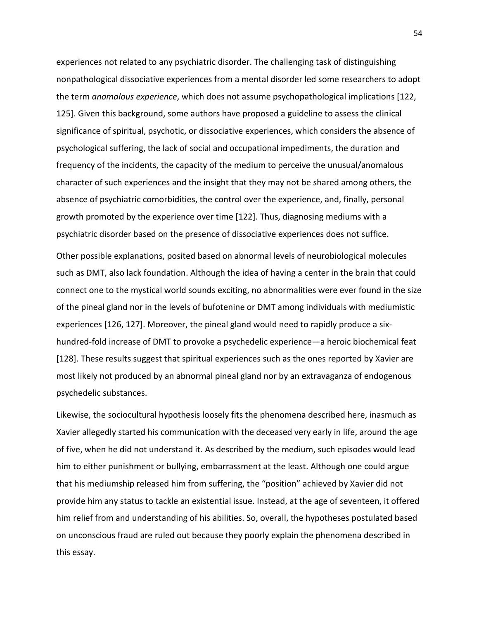experiences not related to any psychiatric disorder. The challenging task of distinguishing nonpathological dissociative experiences from a mental disorder led some researchers to adopt the term *anomalous experience*, which does not assume psychopathological implications [122, 125]. Given this background, some authors have proposed a guideline to assess the clinical significance of spiritual, psychotic, or dissociative experiences, which considers the absence of psychological suffering, the lack of social and occupational impediments, the duration and frequency of the incidents, the capacity of the medium to perceive the unusual/anomalous character of such experiences and the insight that they may not be shared among others, the absence of psychiatric comorbidities, the control over the experience, and, finally, personal growth promoted by the experience over time [122]. Thus, diagnosing mediums with a psychiatric disorder based on the presence of dissociative experiences does not suffice.

Other possible explanations, posited based on abnormal levels of neurobiological molecules such as DMT, also lack foundation. Although the idea of having a center in the brain that could connect one to the mystical world sounds exciting, no abnormalities were ever found in the size of the pineal gland nor in the levels of bufotenine or DMT among individuals with mediumistic experiences [126, 127]. Moreover, the pineal gland would need to rapidly produce a sixhundred-fold increase of DMT to provoke a psychedelic experience—a heroic biochemical feat [128]. These results suggest that spiritual experiences such as the ones reported by Xavier are most likely not produced by an abnormal pineal gland nor by an extravaganza of endogenous psychedelic substances.

Likewise, the sociocultural hypothesis loosely fits the phenomena described here, inasmuch as Xavier allegedly started his communication with the deceased very early in life, around the age of five, when he did not understand it. As described by the medium, such episodes would lead him to either punishment or bullying, embarrassment at the least. Although one could argue that his mediumship released him from suffering, the "position" achieved by Xavier did not provide him any status to tackle an existential issue. Instead, at the age of seventeen, it offered him relief from and understanding of his abilities. So, overall, the hypotheses postulated based on unconscious fraud are ruled out because they poorly explain the phenomena described in this essay.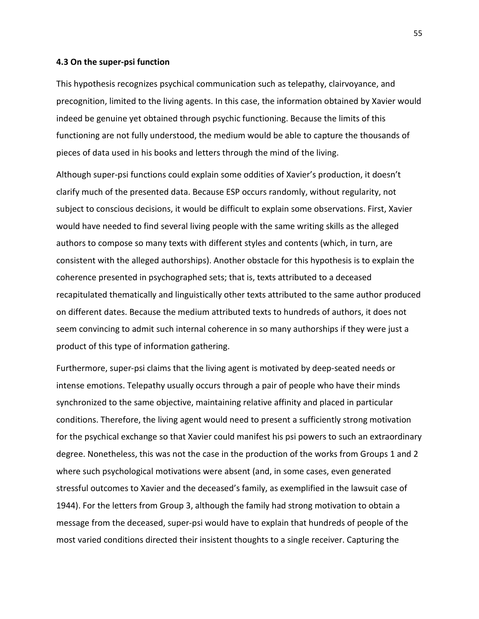## **4.3 On the super-psi function**

This hypothesis recognizes psychical communication such as telepathy, clairvoyance, and precognition, limited to the living agents. In this case, the information obtained by Xavier would indeed be genuine yet obtained through psychic functioning. Because the limits of this functioning are not fully understood, the medium would be able to capture the thousands of pieces of data used in his books and letters through the mind of the living.

Although super-psi functions could explain some oddities of Xavier's production, it doesn't clarify much of the presented data. Because ESP occurs randomly, without regularity, not subject to conscious decisions, it would be difficult to explain some observations. First, Xavier would have needed to find several living people with the same writing skills as the alleged authors to compose so many texts with different styles and contents (which, in turn, are consistent with the alleged authorships). Another obstacle for this hypothesis is to explain the coherence presented in psychographed sets; that is, texts attributed to a deceased recapitulated thematically and linguistically other texts attributed to the same author produced on different dates. Because the medium attributed texts to hundreds of authors, it does not seem convincing to admit such internal coherence in so many authorships if they were just a product of this type of information gathering.

Furthermore, super-psi claims that the living agent is motivated by deep-seated needs or intense emotions. Telepathy usually occurs through a pair of people who have their minds synchronized to the same objective, maintaining relative affinity and placed in particular conditions. Therefore, the living agent would need to present a sufficiently strong motivation for the psychical exchange so that Xavier could manifest his psi powers to such an extraordinary degree. Nonetheless, this was not the case in the production of the works from Groups 1 and 2 where such psychological motivations were absent (and, in some cases, even generated stressful outcomes to Xavier and the deceased's family, as exemplified in the lawsuit case of 1944). For the letters from Group 3, although the family had strong motivation to obtain a message from the deceased, super-psi would have to explain that hundreds of people of the most varied conditions directed their insistent thoughts to a single receiver. Capturing the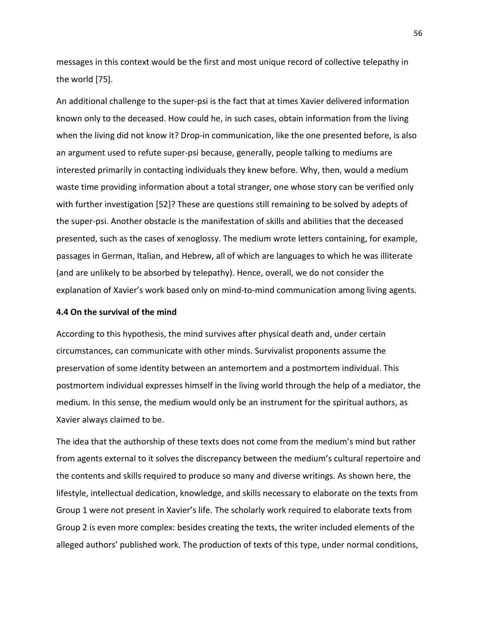messages in this context would be the first and most unique record of collective telepathy in the world [75].

An additional challenge to the super-psi is the fact that at times Xavier delivered information known only to the deceased. How could he, in such cases, obtain information from the living when the living did not know it? Drop-in communication, like the one presented before, is also an argument used to refute super-psi because, generally, people talking to mediums are interested primarily in contacting individuals they knew before. Why, then, would a medium waste time providing information about a total stranger, one whose story can be verified only with further investigation [52]? These are questions still remaining to be solved by adepts of the super-psi. Another obstacle is the manifestation of skills and abilities that the deceased presented, such as the cases of xenoglossy. The medium wrote letters containing, for example, passages in German, Italian, and Hebrew, all of which are languages to which he was illiterate (and are unlikely to be absorbed by telepathy). Hence, overall, we do not consider the explanation of Xavier's work based only on mind-to-mind communication among living agents.

## **4.4 On the survival of the mind**

According to this hypothesis, the mind survives after physical death and, under certain circumstances, can communicate with other minds. Survivalist proponents assume the preservation of some identity between an antemortem and a postmortem individual. This postmortem individual expresses himself in the living world through the help of a mediator, the medium. In this sense, the medium would only be an instrument for the spiritual authors, as Xavier always claimed to be.

The idea that the authorship of these texts does not come from the medium's mind but rather from agents external to it solves the discrepancy between the medium's cultural repertoire and the contents and skills required to produce so many and diverse writings. As shown here, the lifestyle, intellectual dedication, knowledge, and skills necessary to elaborate on the texts from Group 1 were not present in Xavier's life. The scholarly work required to elaborate texts from Group 2 is even more complex: besides creating the texts, the writer included elements of the alleged authors' published work. The production of texts of this type, under normal conditions,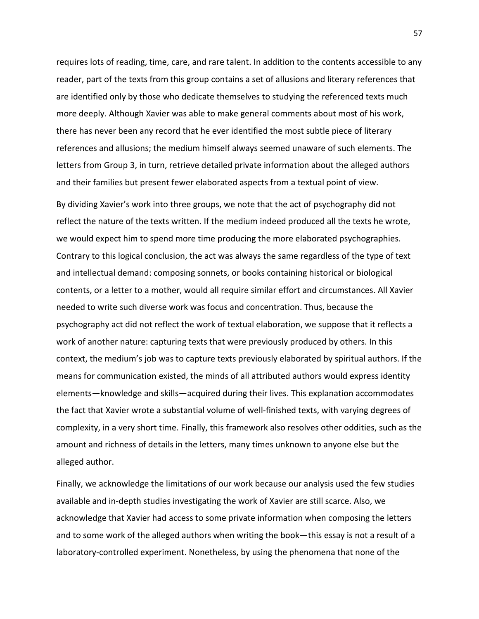requires lots of reading, time, care, and rare talent. In addition to the contents accessible to any reader, part of the texts from this group contains a set of allusions and literary references that are identified only by those who dedicate themselves to studying the referenced texts much more deeply. Although Xavier was able to make general comments about most of his work, there has never been any record that he ever identified the most subtle piece of literary references and allusions; the medium himself always seemed unaware of such elements. The letters from Group 3, in turn, retrieve detailed private information about the alleged authors and their families but present fewer elaborated aspects from a textual point of view.

By dividing Xavier's work into three groups, we note that the act of psychography did not reflect the nature of the texts written. If the medium indeed produced all the texts he wrote, we would expect him to spend more time producing the more elaborated psychographies. Contrary to this logical conclusion, the act was always the same regardless of the type of text and intellectual demand: composing sonnets, or books containing historical or biological contents, or a letter to a mother, would all require similar effort and circumstances. All Xavier needed to write such diverse work was focus and concentration. Thus, because the psychography act did not reflect the work of textual elaboration, we suppose that it reflects a work of another nature: capturing texts that were previously produced by others. In this context, the medium's job was to capture texts previously elaborated by spiritual authors. If the means for communication existed, the minds of all attributed authors would express identity elements—knowledge and skills—acquired during their lives. This explanation accommodates the fact that Xavier wrote a substantial volume of well-finished texts, with varying degrees of complexity, in a very short time. Finally, this framework also resolves other oddities, such as the amount and richness of details in the letters, many times unknown to anyone else but the alleged author.

Finally, we acknowledge the limitations of our work because our analysis used the few studies available and in-depth studies investigating the work of Xavier are still scarce. Also, we acknowledge that Xavier had access to some private information when composing the letters and to some work of the alleged authors when writing the book—this essay is not a result of a laboratory-controlled experiment. Nonetheless, by using the phenomena that none of the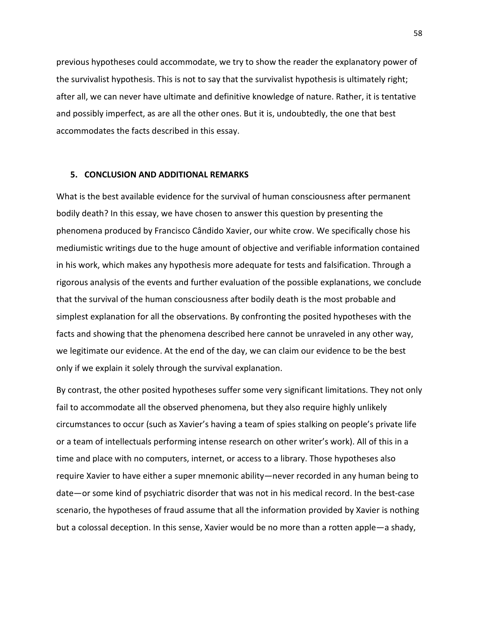previous hypotheses could accommodate, we try to show the reader the explanatory power of the survivalist hypothesis. This is not to say that the survivalist hypothesis is ultimately right; after all, we can never have ultimate and definitive knowledge of nature. Rather, it is tentative and possibly imperfect, as are all the other ones. But it is, undoubtedly, the one that best accommodates the facts described in this essay.

## **5. CONCLUSION AND ADDITIONAL REMARKS**

What is the best available evidence for the survival of human consciousness after permanent bodily death? In this essay, we have chosen to answer this question by presenting the phenomena produced by Francisco Cândido Xavier, our white crow. We specifically chose his mediumistic writings due to the huge amount of objective and verifiable information contained in his work, which makes any hypothesis more adequate for tests and falsification. Through a rigorous analysis of the events and further evaluation of the possible explanations, we conclude that the survival of the human consciousness after bodily death is the most probable and simplest explanation for all the observations. By confronting the posited hypotheses with the facts and showing that the phenomena described here cannot be unraveled in any other way, we legitimate our evidence. At the end of the day, we can claim our evidence to be the best only if we explain it solely through the survival explanation.

By contrast, the other posited hypotheses suffer some very significant limitations. They not only fail to accommodate all the observed phenomena, but they also require highly unlikely circumstances to occur (such as Xavier's having a team of spies stalking on people's private life or a team of intellectuals performing intense research on other writer's work). All of this in a time and place with no computers, internet, or access to a library. Those hypotheses also require Xavier to have either a super mnemonic ability—never recorded in any human being to date—or some kind of psychiatric disorder that was not in his medical record. In the best-case scenario, the hypotheses of fraud assume that all the information provided by Xavier is nothing but a colossal deception. In this sense, Xavier would be no more than a rotten apple—a shady,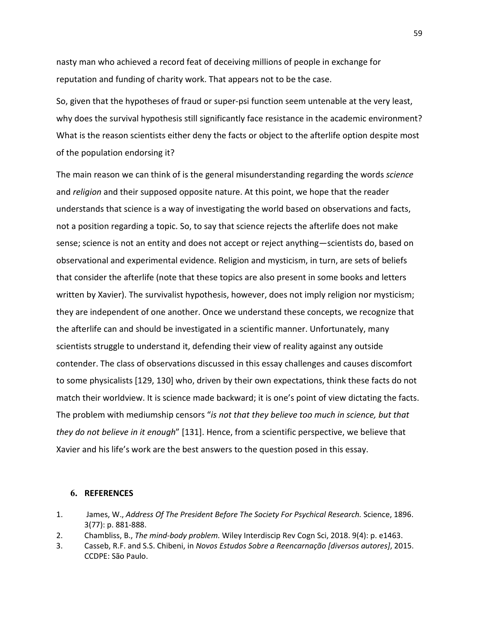nasty man who achieved a record feat of deceiving millions of people in exchange for reputation and funding of charity work. That appears not to be the case.

So, given that the hypotheses of fraud or super-psi function seem untenable at the very least, why does the survival hypothesis still significantly face resistance in the academic environment? What is the reason scientists either deny the facts or object to the afterlife option despite most of the population endorsing it?

The main reason we can think of is the general misunderstanding regarding the words *science* and *religion* and their supposed opposite nature. At this point, we hope that the reader understands that science is a way of investigating the world based on observations and facts, not a position regarding a topic. So, to say that science rejects the afterlife does not make sense; science is not an entity and does not accept or reject anything—scientists do, based on observational and experimental evidence. Religion and mysticism, in turn, are sets of beliefs that consider the afterlife (note that these topics are also present in some books and letters written by Xavier). The survivalist hypothesis, however, does not imply religion nor mysticism; they are independent of one another. Once we understand these concepts, we recognize that the afterlife can and should be investigated in a scientific manner. Unfortunately, many scientists struggle to understand it, defending their view of reality against any outside contender. The class of observations discussed in this essay challenges and causes discomfort to some physicalists [129, 130] who, driven by their own expectations, think these facts do not match their worldview. It is science made backward; it is one's point of view dictating the facts. The problem with mediumship censors "*is not that they believe too much in science, but that they do not believe in it enough*" [131]. Hence, from a scientific perspective, we believe that Xavier and his life's work are the best answers to the question posed in this essay.

## **6. REFERENCES**

- 1. James, W., *Address Of The President Before The Society For Psychical Research.* Science, 1896. 3(77): p. 881-888.
- 2. Chambliss, B., *The mind-body problem.* Wiley Interdiscip Rev Cogn Sci, 2018. 9(4): p. e1463.
- 3. Casseb, R.F. and S.S. Chibeni, in *Novos Estudos Sobre a Reencarnação [diversos autores]*, 2015. CCDPE: São Paulo.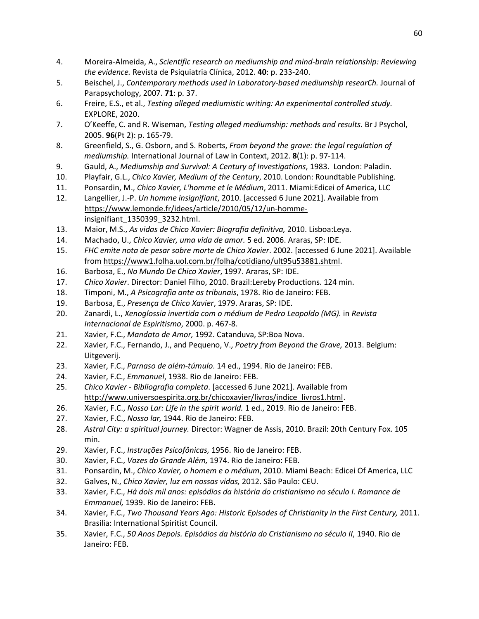- 4. Moreira-Almeida, A., *Scientific research on mediumship and mind-brain relationship: Reviewing the evidence.* Revista de Psiquiatria Clínica, 2012. **40**: p. 233-240.
- 5. Beischel, J., *Contemporary methods used in Laboratory-based mediumship researCh.* Journal of Parapsychology, 2007. **71**: p. 37.
- 6. Freire, E.S., et al., *Testing alleged mediumistic writing: An experimental controlled study.* EXPLORE, 2020.
- 7. O'Keeffe, C. and R. Wiseman, *Testing alleged mediumship: methods and results.* Br J Psychol, 2005. **96**(Pt 2): p. 165-79.
- 8. Greenfield, S., G. Osborn, and S. Roberts, *From beyond the grave: the legal regulation of mediumship.* International Journal of Law in Context, 2012. **8**(1): p. 97-114.
- 9. Gauld, A., *Mediumship and Survival: A Century of Investigations*, 1983. London: Paladin.
- 10. Playfair, G.L., *Chico Xavier, Medium of the Century*, 2010. London: Roundtable Publishing.
- 11. Ponsardin, M., *Chico Xavier, L'homme et le Médium*, 2011. Miami:Edicei of America, LLC
- 12. Langellier, J.-P. *Un homme insignifiant*, 2010. [accessed 6 June 2021]. Available from [https://www.lemonde.fr/idees/article/2010/05/12/un-homme](https://www.lemonde.fr/idees/article/2010/05/12/un-homme-insignifiant_1350399_3232.html)insignifiant 1350399 3232.html.
- 13. Maior, M.S., *As vidas de Chico Xavier: Biografia definitiva,* 2010. Lisboa:Leya.
- 14. Machado, U., *Chico Xavier, uma vida de amor.* 5 ed. 2006. Araras, SP: IDE.
- 15. *FHC emite nota de pesar sobre morte de Chico Xavier*. 2002. [accessed 6 June 2021]. Available from [https://www1.folha.uol.com.br/folha/cotidiano/ult95u53881.shtml.](https://www1.folha.uol.com.br/folha/cotidiano/ult95u53881.shtml)
- 16. Barbosa, E., *No Mundo De Chico Xavier*, 1997. Araras, SP: IDE.
- 17. *Chico Xavier*. Director: Daniel Filho, 2010. Brazil:Lereby Productions. 124 min.
- 18. Timponi, M., *A Psicografia ante os tribunais*, 1978. Rio de Janeiro: FEB.
- 19. Barbosa, E., *Presença de Chico Xavier*, 1979. Araras, SP: IDE.
- 20. Zanardi, L., *Xenoglossia invertida com o médium de Pedro Leopoldo (MG).* in *Revista Internacional de Espiritismo*, 2000. p. 467-8.
- 21. Xavier, F.C., *Mandato de Amor,* 1992. Catanduva, SP:Boa Nova.
- 22. Xavier, F.C., Fernando, J., and Pequeno, V., *Poetry from Beyond the Grave,* 2013. Belgium: Uitgeverij.
- 23. Xavier, F.C., *Parnaso de além-túmulo*. 14 ed., 1994. Rio de Janeiro: FEB.
- 24. Xavier, F.C., *Emmanuel*, 1938. Rio de Janeiro: FEB.
- 25. *Chico Xavier - Bibliografia completa*. [accessed 6 June 2021]. Available from [http://www.universoespirita.org.br/chicoxavier/livros/indice\\_livros1.html.](http://www.universoespirita.org.br/chicoxavier/livros/indice_livros1.html)
- 26. Xavier, F.C., *Nosso Lar: Life in the spirit world.* 1 ed., 2019. Rio de Janeiro: FEB.
- 27. Xavier, F.C., *Nosso lar,* 1944. Rio de Janeiro: FEB.
- 28. *Astral City: a spiritual journey.* Director: Wagner de Assis, 2010. Brazil: 20th Century Fox. 105 min.
- 29. Xavier, F.C., *Instruções Psicofônicas,* 1956. Rio de Janeiro: FEB.
- 30. Xavier, F.C., *Vozes do Grande Além,* 1974. Rio de Janeiro: FEB.
- 31. Ponsardin, M., *Chico Xavier, o homem e o médium*, 2010. Miami Beach: Edicei Of America, LLC
- 32. Galves, N., *Chico Xavier, luz em nossas vidas,* 2012. São Paulo: CEU.
- 33. Xavier, F.C., *Há dois mil anos: episódios da história do cristianismo no século I. Romance de Emmanuel,* 1939. Rio de Janeiro: FEB.
- 34. Xavier, F.C., *Two Thousand Years Ago: Historic Episodes of Christianity in the First Century,* 2011. Brasilia: International Spiritist Council.
- 35. Xavier, F.C., *50 Anos Depois. Episódios da história do Cristianismo no século II*, 1940. Rio de Janeiro: FEB.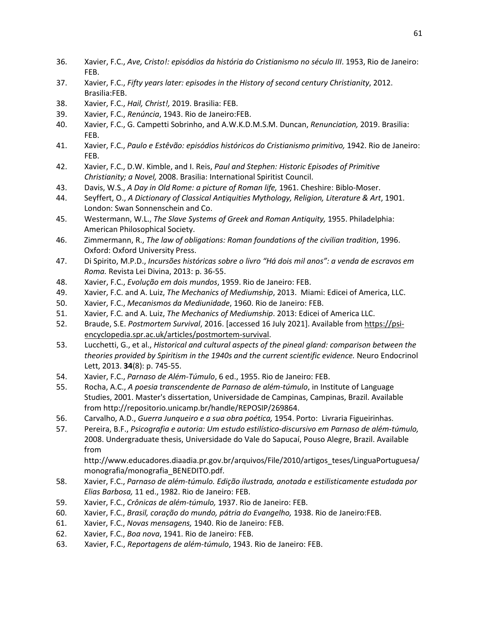- 36. Xavier, F.C., *Ave, Cristo!: episódios da história do Cristianismo no século III*. 1953, Rio de Janeiro: FEB.
- 37. Xavier, F.C., *Fifty years later: episodes in the History of second century Christianity*, 2012. Brasilia:FEB.
- 38. Xavier, F.C., *Hail, Christ!,* 2019. Brasilia: FEB.
- 39. Xavier, F.C., *Renúncia*, 1943. Rio de Janeiro:FEB.
- 40. Xavier, F.C., G. Campetti Sobrinho, and A.W.K.D.M.S.M. Duncan, *Renunciation,* 2019. Brasilia: FEB.
- 41. Xavier, F.C., *Paulo e Estêvão: episódios históricos do Cristianismo primitivo,* 1942. Rio de Janeiro: FEB.
- 42. Xavier, F.C., D.W. Kimble, and I. Reis, *Paul and Stephen: Historic Episodes of Primitive Christianity; a Novel,* 2008. Brasilia: International Spiritist Council.
- 43. Davis, W.S., *A Day in Old Rome: a picture of Roman life,* 1961. Cheshire: Biblo-Moser.
- 44. Seyffert, O., *A Dictionary of Classical Antiquities Mythology, Religion, Literature & Art*, 1901. London: Swan Sonnenschein and Co.
- 45. Westermann, W.L., *The Slave Systems of Greek and Roman Antiquity,* 1955. Philadelphia: American Philosophical Society.
- 46. Zimmermann, R., *The law of obligations: Roman foundations of the civilian tradition*, 1996. Oxford: Oxford University Press.
- 47. Di Spirito, M.P.D., *Incursões históricas sobre o livro "Há dois mil anos": a venda de escravos em Roma.* Revista Lei Divina, 2013: p. 36-55.
- 48. Xavier, F.C., *Evolução em dois mundos*, 1959. Rio de Janeiro: FEB.
- 49. Xavier, F.C. and A. Luiz, *The Mechanics of Mediumship*, 2013. Miami: Edicei of America, LLC.
- 50. Xavier, F.C., *Mecanismos da Mediunidade*, 1960. Rio de Janeiro: FEB.
- 51. Xavier, F.C. and A. Luiz, *The Mechanics of Mediumship*. 2013: Edicei of America LLC.
- 52. Braude, S.E. *Postmortem Survival*, 2016. [accessed 16 July 2021]. Available from [https://psi](https://psi-encyclopedia.spr.ac.uk/articles/postmortem-survival)[encyclopedia.spr.ac.uk/articles/postmortem-survival.](https://psi-encyclopedia.spr.ac.uk/articles/postmortem-survival)
- 53. Lucchetti, G., et al., *Historical and cultural aspects of the pineal gland: comparison between the theories provided by Spiritism in the 1940s and the current scientific evidence.* Neuro Endocrinol Lett, 2013. **34**(8): p. 745-55.
- 54. Xavier, F.C., *Parnaso de Além-Túmulo*, 6 ed., 1955. Rio de Janeiro: FEB.
- 55. Rocha, A.C., *A poesia transcendente de Parnaso de além-túmulo*, in Institute of Language Studies, 2001. Master's dissertation, Universidade de Campinas, Campinas, Brazil. Available from http://repositorio.unicamp.br/handle/REPOSIP/269864.
- 56. Carvalho, A.D., *Guerra Junqueiro e a sua obra poética,* 1954. Porto: Livraria Figueirinhas.
- 57. Pereira, B.F., *Psicografia e autoria: Um estudo estilístico-discursivo em Parnaso de além-túmulo,* 2008. Undergraduate thesis, Universidade do Vale do Sapucaí, Pouso Alegre, Brazil. Available from

http://www.educadores.diaadia.pr.gov.br/arquivos/File/2010/artigos\_teses/LinguaPortuguesa/ monografia/monografia\_BENEDITO.pdf.

- 58. Xavier, F.C., *Parnaso de além-túmulo. Edição ilustrada, anotada e estilisticamente estudada por Elias Barbosa,* 11 ed., 1982. Rio de Janeiro: FEB.
- 59. Xavier, F.C., *Crônicas de além-túmulo,* 1937. Rio de Janeiro: FEB.
- 60. Xavier, F.C., *Brasil, coração do mundo, pátria do Evangelho,* 1938. Rio de Janeiro:FEB.
- 61. Xavier, F.C., *Novas mensagens,* 1940. Rio de Janeiro: FEB.
- 62. Xavier, F.C., *Boa nova*, 1941. Rio de Janeiro: FEB.
- 63. Xavier, F.C., *Reportagens de além-túmulo*, 1943. Rio de Janeiro: FEB.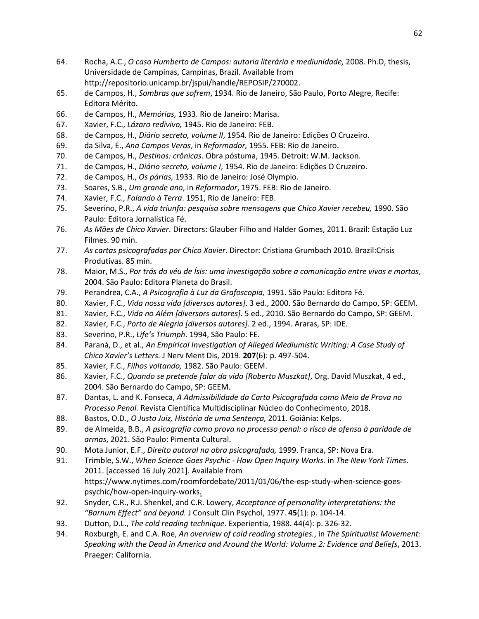- 64. Rocha, A.C., *O caso Humberto de Campos: autoria literária e mediunidade,* 2008. Ph.D, thesis, Universidade de Campinas, Campinas, Brazil. Available from http://repositorio.unicamp.br/jspui/handle/REPOSIP/270002.
- 65. de Campos, H., *Sombras que sofrem*, 1934. Rio de Janeiro, São Paulo, Porto Alegre, Recife: Editora Mérito.
- 66. de Campos, H., *Memórias,* 1933. Rio de Janeiro: Marisa.
- 67. Xavier, F.C., *Lázaro redivivo,* 1945. Rio de Janeiro: FEB.
- 68. de Campos, H., *Diário secreto, volume II*, 1954. Rio de Janeiro: Edições O Cruzeiro.
- 69. da Silva, E., *Ana Campos Veras*, in *Reformador,* 1955. FEB: Rio de Janeiro.
- 70. de Campos, H., *Destinos: crônicas.* Obra póstuma, 1945. Detroit: W.M. Jackson.
- 71. de Campos, H., *Diário secreto, volume I*, 1954. Rio de Janeiro: Edições O Cruzeiro.
- 72. de Campos, H., *Os párias,* 1933. Rio de Janeiro: José Olympio.
- 73. Soares, S.B., *Um grande ano*, in *Reformador*, 1975. FEB: Rio de Janeiro.
- 74. Xavier, F.C., *Falando à Terra*. 1951, Rio de Janeiro: FEB.
- 75. Severino, P.R., *A vida triunfa: pesquisa sobre mensagens que Chico Xavier recebeu,* 1990. São Paulo: Editora Jornalística Fé.
- 76. *As Mães de Chico Xavier*. Directors: Glauber Filho and Halder Gomes, 2011. Brazil: Estação Luz Filmes. 90 min.
- 77. *As cartas psicografadas por Chico Xavier*. Director: Cristiana Grumbach 2010. Brazil:Crisis Produtivas. 85 min.
- 78. Maior, M.S., *Por trás do véu de Ísis: uma investigação sobre a comunicação entre vivos e mortos*, 2004. São Paulo: Editora Planeta do Brasil.
- 79. Perandrea, C.A., *A Psicografia à Luz da Grafoscopia,* 1991. São Paulo: Editora Fé.
- 80. Xavier, F.C., *Vida nossa vida [diversos autores]*. 3 ed., 2000. São Bernardo do Campo, SP: GEEM.
- 81. Xavier, F.C., *Vida no Além [diversors autores]*. 5 ed., 2010. São Bernardo do Campo, SP: GEEM.
- 82. Xavier, F.C., *Porto de Alegria [diversos autores]*. 2 ed., 1994. Araras, SP: IDE.
- 83. Severino, P.R., *Life's Triumph*. 1994, São Paulo: FE.
- 84. Paraná, D., et al., *An Empirical Investigation of Alleged Mediumistic Writing: A Case Study of Chico Xavier's Letters.* J Nerv Ment Dis, 2019. **207**(6): p. 497-504.
- 85. Xavier, F.C., *Filhos voltando,* 1982. São Paulo: GEEM.
- 86. Xavier, F.C., *Quando se pretende falar da vida [Roberto Muszkat]*, Org. David Muszkat, 4 ed., 2004. São Bernardo do Campo, SP: GEEM.
- 87. Dantas, L. and K. Fonseca, *A Admissibilidade da Carta Psicografada como Meio de Prova no Processo Penal.* Revista Científica Multidisciplinar Núcleo do Conhecimento, 2018.
- 88. Bastos, O.D., *O Justo Juiz, História de uma Sentença,* 2011. Goiânia: Kelps.
- 89. de Almeida, B.B., *A psicografia como prova no processo penal: o risco de ofensa à paridade de armas*, 2021. São Paulo: Pimenta Cultural.
- 90. Mota Junior, E.F., *Direito autoral na obra psicografada,* 1999. Franca, SP: Nova Era.
- 91. Trimble, S.W., *When Science Goes Psychic - How Open Inquiry Works.* in *The New York Times*. 2011. [accessed 16 July 2021]*.* Available from https://www.nytimes.com/roomfordebate/2011/01/06/the-esp-study-when-science-goespsychic/how-open-inquiry-works.
- 92. Snyder, C.R., R.J. Shenkel, and C.R. Lowery, *Acceptance of personality interpretations: the "Barnum Effect" and beyond.* J Consult Clin Psychol, 1977. **45**(1): p. 104-14.
- 93. Dutton, D.L., *The cold reading technique.* Experientia, 1988. 44(4): p. 326-32.
- 94. Roxburgh, E. and C.A. Roe, *An overview of cold reading strategies.*, in *The Spiritualist Movement: Speaking with the Dead in America and Around the World: Volume 2: Evidence and Beliefs*, 2013. Praeger: California.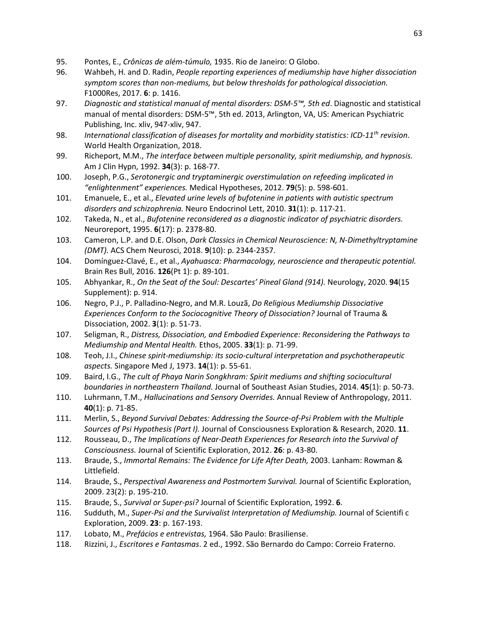- 95. Pontes, E., *Crônicas de além-túmulo,* 1935. Rio de Janeiro: O Globo.
- 96. Wahbeh, H. and D. Radin, *People reporting experiences of mediumship have higher dissociation symptom scores than non-mediums, but below thresholds for pathological dissociation.* F1000Res, 2017. **6**: p. 1416.
- 97. *Diagnostic and statistical manual of mental disorders: DSM-5™, 5th ed*. Diagnostic and statistical manual of mental disorders: DSM-5™, 5th ed. 2013, Arlington, VA, US: American Psychiatric Publishing, Inc. xliv, 947-xliv, 947.
- 98. *International classification of diseases for mortality and morbidity statistics: ICD-11th revision*. World Health Organization, 2018.
- 99. Richeport, M.M., *The interface between multiple personality, spirit mediumship, and hypnosis.* Am J Clin Hypn, 1992. **34**(3): p. 168-77.
- 100. Joseph, P.G., *Serotonergic and tryptaminergic overstimulation on refeeding implicated in "enlightenment" experiences.* Medical Hypotheses, 2012. **79**(5): p. 598-601.
- 101. Emanuele, E., et al., *Elevated urine levels of bufotenine in patients with autistic spectrum disorders and schizophrenia.* Neuro Endocrinol Lett, 2010. **31**(1): p. 117-21.
- 102. Takeda, N., et al., *Bufotenine reconsidered as a diagnostic indicator of psychiatric disorders.* Neuroreport, 1995. **6**(17): p. 2378-80.
- 103. Cameron, L.P. and D.E. Olson, *Dark Classics in Chemical Neuroscience: N, N-Dimethyltryptamine (DMT).* ACS Chem Neurosci, 2018. **9**(10): p. 2344-2357.
- 104. Domínguez-Clavé, E., et al., *Ayahuasca: Pharmacology, neuroscience and therapeutic potential.* Brain Res Bull, 2016. **126**(Pt 1): p. 89-101.
- 105. Abhyankar, R., *On the Seat of the Soul: Descartes' Pineal Gland (914).* Neurology, 2020. **94**(15 Supplement): p. 914.
- 106. Negro, P.J., P. Palladino-Negro, and M.R. Louzã, *Do Religious Mediumship Dissociative Experiences Conform to the Sociocognitive Theory of Dissociation?* Journal of Trauma & Dissociation, 2002. **3**(1): p. 51-73.
- 107. Seligman, R., *Distress, Dissociation, and Embodied Experience: Reconsidering the Pathways to Mediumship and Mental Health.* Ethos, 2005. **33**(1): p. 71-99.
- 108. Teoh, J.I., *Chinese spirit-mediumship: its socio-cultural interpretation and psychotherapeutic aspects.* Singapore Med J, 1973. **14**(1): p. 55-61.
- 109. Baird, I.G., *The cult of Phaya Narin Songkhram: Spirit mediums and shifting sociocultural boundaries in northeastern Thailand.* Journal of Southeast Asian Studies, 2014. **45**(1): p. 50-73.
- 110. Luhrmann, T.M., *Hallucinations and Sensory Overrides.* Annual Review of Anthropology, 2011. **40**(1): p. 71-85.
- 111. Merlin, S., *Beyond Survival Debates: Addressing the Source-of-Psi Problem with the Multiple Sources of Psi Hypothesis (Part I).* Journal of Consciousness Exploration & Research, 2020. **11**.
- 112. Rousseau, D., *The Implications of Near-Death Experiences for Research into the Survival of Consciousness.* Journal of Scientific Exploration, 2012. **26**: p. 43-80.
- 113. Braude, S., *Immortal Remains: The Evidence for Life After Death,* 2003. Lanham: Rowman & Littlefield.
- 114. Braude, S., *Perspectival Awareness and Postmortem Survival.* Journal of Scientific Exploration, 2009. 23(2): p. 195-210.
- 115. Braude, S., *Survival or Super-psi?* Journal of Scientific Exploration, 1992. **6**.
- 116. Sudduth, M., *Super-Psi and the Survivalist Interpretation of Mediumship.* Journal of Scientifi c Exploration, 2009. **23**: p. 167-193.
- 117. Lobato, M., *Prefácios e entrevistas,* 1964. São Paulo: Brasiliense.
- 118. Rizzini, J., *Escritores e Fantasmas*. 2 ed., 1992. São Bernardo do Campo: Correio Fraterno.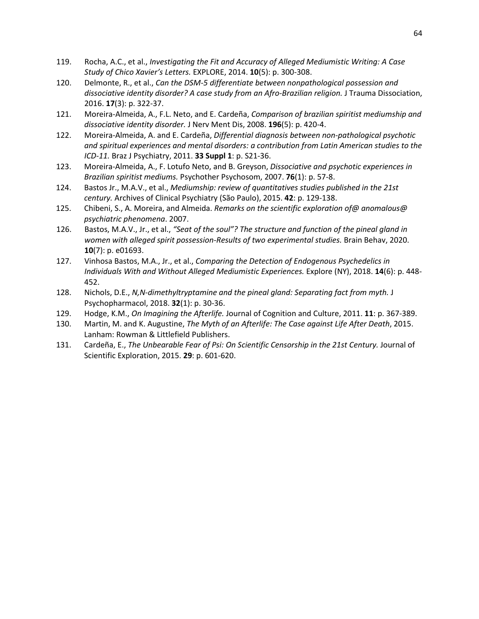- 119. Rocha, A.C., et al., *Investigating the Fit and Accuracy of Alleged Mediumistic Writing: A Case Study of Chico Xavier's Letters.* EXPLORE, 2014. **10**(5): p. 300-308.
- 120. Delmonte, R., et al., *Can the DSM-5 differentiate between nonpathological possession and dissociative identity disorder? A case study from an Afro-Brazilian religion.* J Trauma Dissociation, 2016. **17**(3): p. 322-37.
- 121. Moreira-Almeida, A., F.L. Neto, and E. Cardeña, *Comparison of brazilian spiritist mediumship and dissociative identity disorder.* J Nerv Ment Dis, 2008. **196**(5): p. 420-4.
- 122. Moreira-Almeida, A. and E. Cardeña, *Differential diagnosis between non-pathological psychotic and spiritual experiences and mental disorders: a contribution from Latin American studies to the ICD-11.* Braz J Psychiatry, 2011. **33 Suppl 1**: p. S21-36.
- 123. Moreira-Almeida, A., F. Lotufo Neto, and B. Greyson, *Dissociative and psychotic experiences in Brazilian spiritist mediums.* Psychother Psychosom, 2007. **76**(1): p. 57-8.
- 124. Bastos Jr., M.A.V., et al., *Mediumship: review of quantitatives studies published in the 21st century.* Archives of Clinical Psychiatry (São Paulo), 2015. **42**: p. 129-138.
- 125. Chibeni, S., A. Moreira, and Almeida. *Remarks on the scientific exploration of@ anomalous@ psychiatric phenomena*. 2007.
- 126. Bastos, M.A.V., Jr., et al., *"Seat of the soul"? The structure and function of the pineal gland in women with alleged spirit possession-Results of two experimental studies.* Brain Behav, 2020. **10**(7): p. e01693.
- 127. Vinhosa Bastos, M.A., Jr., et al., *Comparing the Detection of Endogenous Psychedelics in Individuals With and Without Alleged Mediumistic Experiences.* Explore (NY), 2018. **14**(6): p. 448- 452.
- 128. Nichols, D.E., *N,N-dimethyltryptamine and the pineal gland: Separating fact from myth.* J Psychopharmacol, 2018. **32**(1): p. 30-36.
- 129. Hodge, K.M., *On Imagining the Afterlife.* Journal of Cognition and Culture, 2011. **11**: p. 367-389.
- 130. Martin, M. and K. Augustine, *The Myth of an Afterlife: The Case against Life After Death*, 2015. Lanham: Rowman & Littlefield Publishers.
- 131. Cardeña, E., *The Unbearable Fear of Psi: On Scientific Censorship in the 21st Century.* Journal of Scientific Exploration, 2015. **29**: p. 601-620.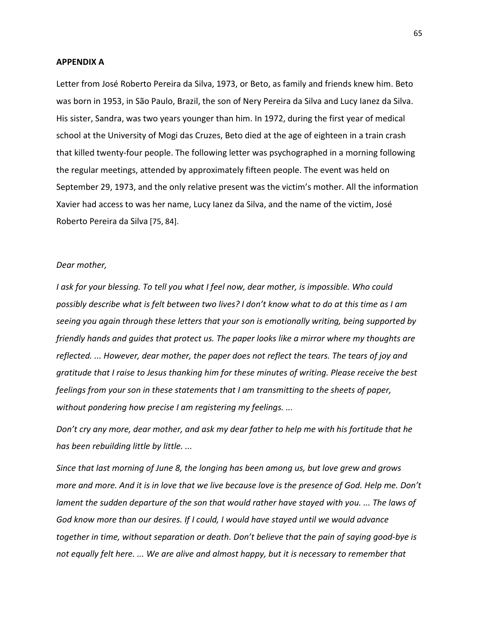#### **APPENDIX A**

Letter from José Roberto Pereira da Silva, 1973, or Beto, as family and friends knew him. Beto was born in 1953, in São Paulo, Brazil, the son of Nery Pereira da Silva and Lucy Ianez da Silva. His sister, Sandra, was two years younger than him. In 1972, during the first year of medical school at the University of Mogi das Cruzes, Beto died at the age of eighteen in a train crash that killed twenty-four people. The following letter was psychographed in a morning following the regular meetings, attended by approximately fifteen people. The event was held on September 29, 1973, and the only relative present was the victim's mother. All the information Xavier had access to was her name, Lucy Ianez da Silva, and the name of the victim, José Roberto Pereira da Silva [75, 84].

### *Dear mother,*

*I ask for your blessing. To tell you what I feel now, dear mother, is impossible. Who could* possibly describe what is felt between two lives? I don't know what to do at this time as I am *seeing you again through these letters that your son is emotionally writing, being supported by friendly hands and guides that protect us. The paper looks like a mirror where my thoughts are reflected. ... However, dear mother, the paper does not reflect the tears. The tears of joy and gratitude that I raise to Jesus thanking him for these minutes of writing. Please receive the best feelings from your son in these statements that I am transmitting to the sheets of paper, without pondering how precise I am registering my feelings. ...*

Don't cry any more, dear mother, and ask my dear father to help me with his fortitude that he *has been rebuilding little by little. ...*

*Since that last morning of June 8, the longing has been among us, but love grew and grows* more and more. And it is in love that we live because love is the presence of God. Help me. Don't *lament the sudden departure of the son that would rather have stayed with you. ... The laws of God know more than our desires. If I could, I would have stayed until we would advance together in time, without separation or death. Don't believe that the pain of saying good-bye is not equally felt here. ... We are alive and almost happy, but it is necessary to remember that*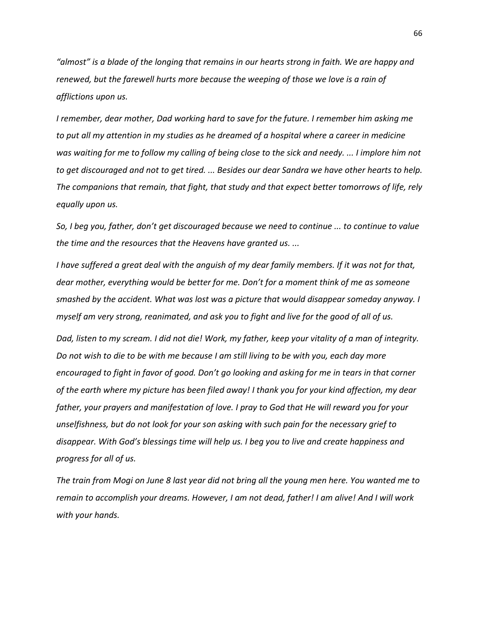"almost" is a blade of the longing that remains in our hearts strong in faith. We are happy and *renewed, but the farewell hurts more because the weeping of those we love is a rain of afflictions upon us.*

*I remember, dear mother, Dad working hard to save for the future. I remember him asking me* to put all my attention in my studies as he dreamed of a hospital where a career in medicine was waiting for me to follow my calling of being close to the sick and needy. ... I implore him not to get discouraged and not to get tired. ... Besides our dear Sandra we have other hearts to help. *The companions that remain, that fight, that study and that expect better tomorrows of life, rely equally upon us.*

*So, I beg you, father, don't get discouraged because we need to continue ... to continue to value the time and the resources that the Heavens have granted us. ...*

I have suffered a great deal with the anguish of my dear family members. If it was not for that, *dear mother, everything would be better for me. Don't for a moment think of me as someone smashed by the accident. What was lost was a picture that would disappear someday anyway. I myself am very strong, reanimated, and ask you to fight and live for the good of all of us.*

Dad, listen to my scream. I did not die! Work, my father, keep your vitality of a man of integrity. Do not wish to die to be with me because I am still living to be with you, each day more encouraged to fight in favor of good. Don't go looking and asking for me in tears in that corner of the earth where my picture has been filed away! I thank you for your kind affection, my dear *father, your prayers and manifestation of love. I pray to God that He will reward you for your unselfishness, but do not look for your son asking with such pain for the necessary grief to disappear. With God's blessings time will help us. I beg you to live and create happiness and progress for all of us.*

The train from Mogi on June 8 last year did not bring all the young men here. You wanted me to *remain to accomplish your dreams. However, I am not dead, father! I am alive! And I will work with your hands.*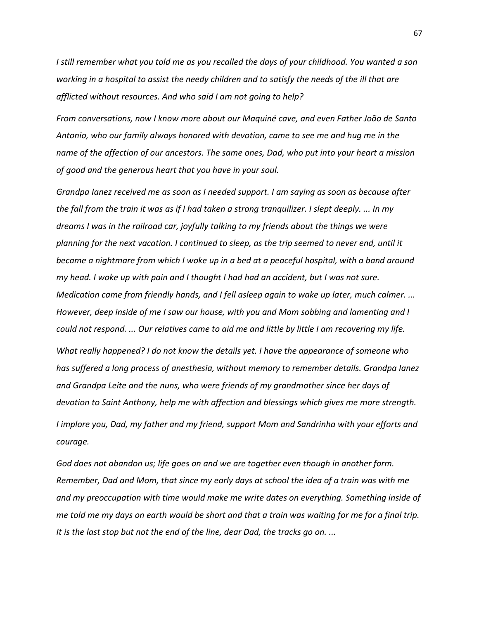I still remember what you told me as you recalled the days of your childhood. You wanted a son working in a hospital to assist the needy children and to satisfy the needs of the ill that are *afflicted without resources. And who said I am not going to help?*

*From conversations, now I know more about our Maquiné cave, and even Father João de Santo Antonio, who our family always honored with devotion, came to see me and hug me in the name of the affection of our ancestors. The same ones, Dad, who put into your heart a mission of good and the generous heart that you have in your soul.*

*Grandpa Ianez received me as soon as I needed support. I am saying as soon as because after* the fall from the train it was as if I had taken a strong tranquilizer. I slept deeply. ... In my *dreams I was in the railroad car, joyfully talking to my friends about the things we were planning for the next vacation. I continued to sleep, as the trip seemed to never end, until it became a nightmare from which I woke up in a bed at a peaceful hospital, with a band around* my head. I woke up with pain and I thought I had had an accident, but I was not sure. *Medication came from friendly hands, and I fell asleep again to wake up later, much calmer. ... However, deep inside of me I saw our house, with you and Mom sobbing and lamenting and I* could not respond. ... Our relatives came to aid me and little by little I am recovering my life. *What really happened? I do not know the details yet. I have the appearance of someone who has suffered a long process of anesthesia, without memory to remember details. Grandpa Ianez and Grandpa Leite and the nuns, who were friends of my grandmother since her days of devotion to Saint Anthony, help me with affection and blessings which gives me more strength. I implore you, Dad, my father and my friend, support Mom and Sandrinha with your efforts and courage.*

*God does not abandon us; life goes on and we are together even though in another form. Remember, Dad and Mom, that since my early days at school the idea of a train was with me and my preoccupation with time would make me write dates on everything. Something inside of* me told me my days on earth would be short and that a train was waiting for me for a final trip. *It is the last stop but not the end of the line, dear Dad, the tracks go on. ...*